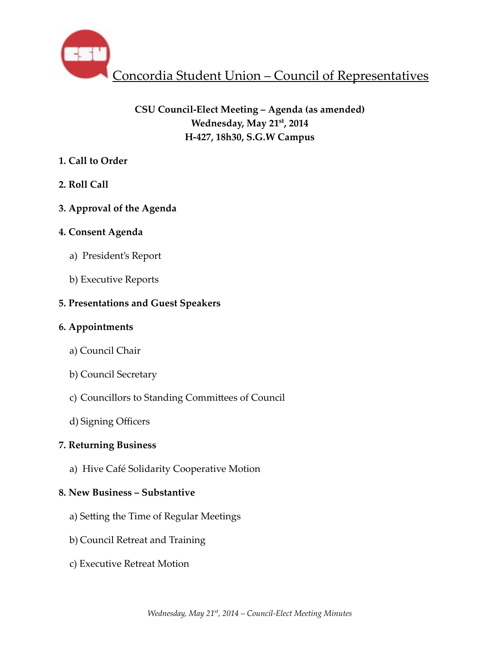

# **CSU Council-Elect Meeting – Agenda (as amended) Wednesday, May 21st, 2014 H-427, 18h30, S.G.W Campus**

# **1. Call to Order**

- **2. Roll Call**
- **3. Approval of the Agenda**

# **4. Consent Agenda**

- a) President's Report
- b) Executive Reports

# **5. Presentations and Guest Speakers**

# **6. Appointments**

- a) Council Chair
- b) Council Secretary
- c) Councillors to Standing Committees of Council
- d) Signing Officers

# **7. Returning Business**

a) Hive Café Solidarity Cooperative Motion

# **8. New Business – Substantive**

- a) Setting the Time of Regular Meetings
- b) Council Retreat and Training
- c) Executive Retreat Motion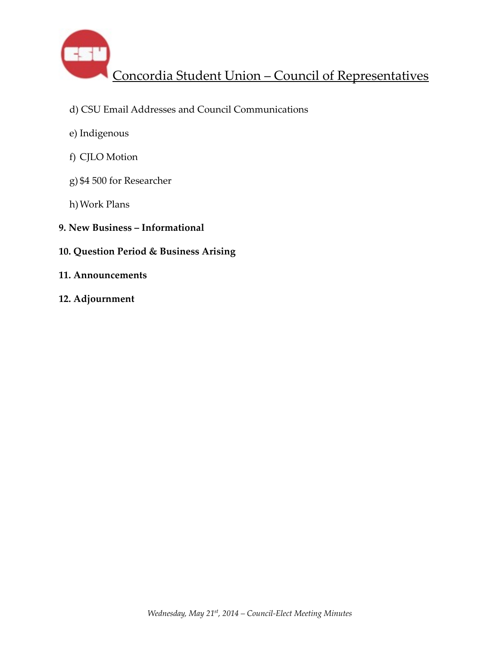

- d) CSU Email Addresses and Council Communications
- e) Indigenous
- f) CJLO Motion
- g) \$4 500 for Researcher
- h)Work Plans
- **9. New Business Informational**
- **10. Question Period & Business Arising**
- **11. Announcements**
- **12. Adjournment**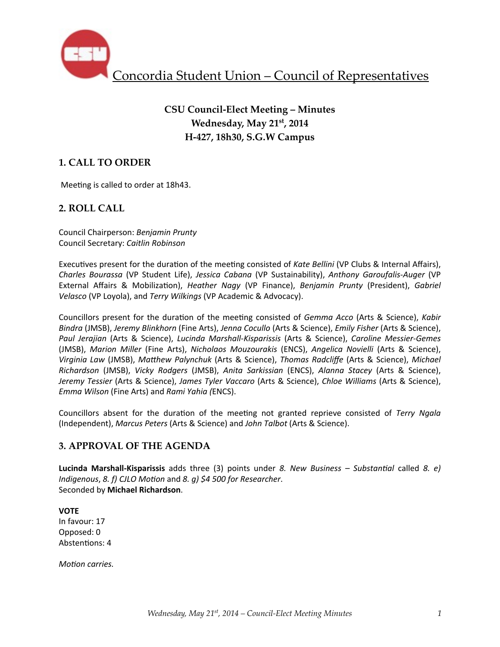

# **CSU Council-Elect Meeting – Minutes Wednesday, May 21st, 2014 H-427, 18h30, S.G.W Campus**

# **1. CALL TO ORDER**

Meeting is called to order at 18h43.

## **2. ROLL CALL**

Council Chairperson: *Benjamin Prunty* Council Secretary: *Caitlin Robinson*

Executives present for the duration of the meeting consisted of *Kate Bellini* (VP Clubs & Internal Affairs), *Charles Bourassa* (VP Student Life), *Jessica Cabana* (VP Sustainability), *Anthony Garoufalis-Auger* (VP External Affairs & Mobilization), *Heather Nagy* (VP Finance), *Benjamin Prunty* (President), *Gabriel Velasco* (VP Loyola), and *Terry Wilkings* (VP Academic & Advocacy).

Councillors present for the duration of the meeting consisted of *Gemma Acco* (Arts & Science), Kabir *Bindra* (JMSB), *Jeremy Blinkhorn* (Fine Arts), *Jenna Cocullo* (Arts & Science), *Emily Fisher* (Arts & Science), *Paul Jerajian* (Arts & Science), *Lucinda Marshall-Kisparissis*  (Arts & Science), *Caroline Messier-Gemes*  (JMSB), *Marion Miller* (Fine Arts), *Nicholaos Mouzourakis*  (ENCS), *Angelica Novielli* (Arts & Science), *Virginia Law* (JMSB), Matthew Palynchuk (Arts & Science), Thomas Radcliffe (Arts & Science), Michael *Richardson*  (JMSB), *Vicky Rodgers*  (JMSB), *Anita Sarkissian*  (ENCS), *Alanna Stacey*  (Arts & Science), *Jeremy Tessier* (Arts & Science), *James Tyler Vaccaro* (Arts & Science), *Chloe Williams* (Arts & Science), *Emma Wilson* (Fine Arts) and *Rami Yahia (*ENCS).

Councillors absent for the duration of the meeting not granted reprieve consisted of *Terry Ngala* (Independent), *Marcus Peters* (Arts & Science) and *John Talbot* (Arts & Science).

## **3. APPROVAL OF THE AGENDA**

**Lucinda Marshall-Kisparissis** adds three (3) points under *8. New Business* – Substantial called *8. e) Indigenous, 8. f)* CJLO Motion and *8. g)* \$4 500 for Researcher. Seconded by **Michael Richardson**.

**VOTE** In favour: 17 Opposed: 0 Abstentions: 4

*Motion carries.*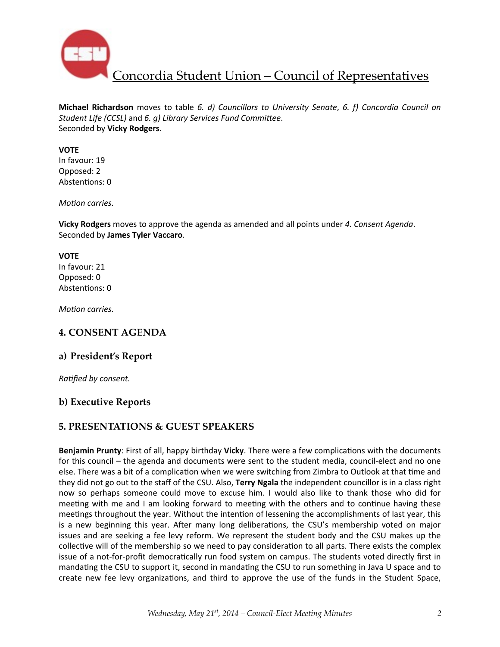

**Michael Richardson** moves to table 6. d) Councillors to University Senate, 6. f) Concordia Council on *Student Life (CCSL)* and 6. g) Library Services Fund Committee. Seconded by **Vicky Rodgers**.

#### **VOTE**

In favour: 19 Opposed: 2 Abstentions: 0

*Motion carries.* 

**Vicky Rodgers** moves to approve the agenda as amended and all points under 4. Consent Agenda. Seconded by **James Tyler Vaccaro**.

#### **VOTE**

In favour: 21 Opposed: 0 Abstentions: 0

*Motion carries.* 

## **4. CONSENT AGENDA**

### **a) President's Report**

*Ratified by consent.* 

## **b) Executive Reports**

## **5. PRESENTATIONS & GUEST SPEAKERS**

**Benjamin Prunty**: First of all, happy birthday **Vicky**. There were a few complications with the documents for this council – the agenda and documents were sent to the student media, council-elect and no one else. There was a bit of a complication when we were switching from Zimbra to Outlook at that time and they did not go out to the staff of the CSU. Also, **Terry Ngala** the independent councillor is in a class right now so perhaps someone could move to excuse him. I would also like to thank those who did for meeting with me and I am looking forward to meeting with the others and to continue having these meetings throughout the year. Without the intention of lessening the accomplishments of last year, this is a new beginning this year. After many long deliberations, the CSU's membership voted on major issues and are seeking a fee levy reform. We represent the student body and the CSU makes up the collective will of the membership so we need to pay consideration to all parts. There exists the complex issue of a not-for-profit democratically run food system on campus. The students voted directly first in mandating the CSU to support it, second in mandating the CSU to run something in Java U space and to create new fee levy organizations, and third to approve the use of the funds in the Student Space,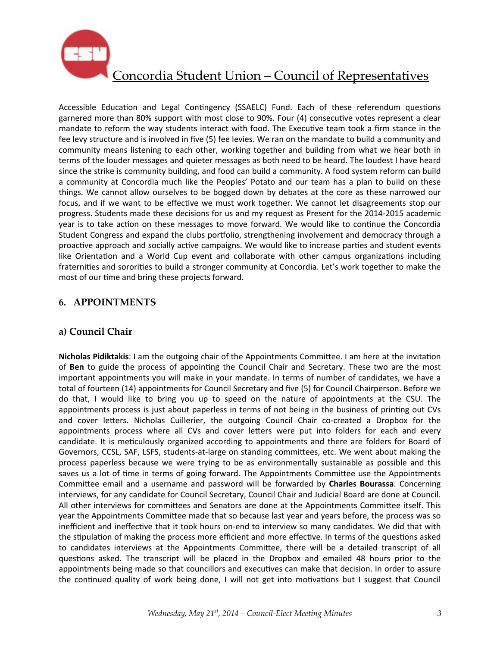

Accessible Education and Legal Contingency (SSAELC) Fund. Each of these referendum questions garnered more than 80% support with most close to 90%. Four (4) consecutive votes represent a clear mandate to reform the way students interact with food. The Executive team took a firm stance in the fee levy structure and is involved in five (5) fee levies. We ran on the mandate to build a community and community means listening to each other, working together and building from what we hear both in terms of the louder messages and quieter messages as both need to be heard. The loudest I have heard since the strike is community building, and food can build a community. A food system reform can build a community at Concordia much like the Peoples' Potato and our team has a plan to build on these things. We cannot allow ourselves to be bogged down by debates at the core as these narrowed our focus, and if we want to be effective we must work together. We cannot let disagreements stop our progress. Students made these decisions for us and my request as Present for the 2014-2015 academic year is to take action on these messages to move forward. We would like to continue the Concordia Student Congress and expand the clubs portfolio, strengthening involvement and democracy through a proactive approach and socially active campaigns. We would like to increase parties and student events like Orientation and a World Cup event and collaborate with other campus organizations including fraternities and sororities to build a stronger community at Concordia. Let's work together to make the most of our time and bring these projects forward.

## **6. APPOINTMENTS**

## **a) Council Chair**

**Nicholas Pidiktakis:** I am the outgoing chair of the Appointments Committee. I am here at the invitation of Ben to guide the process of appointing the Council Chair and Secretary. These two are the most important appointments you will make in your mandate. In terms of number of candidates, we have a total of fourteen (14) appointments for Council Secretary and five (5) for Council Chairperson. Before we do that, I would like to bring you up to speed on the nature of appointments at the CSU. The appointments process is just about paperless in terms of not being in the business of printing out CVs and cover letters. Nicholas Cuillerier, the outgoing Council Chair co-created a Dropbox for the appointments process where all CVs and cover letters were put into folders for each and every candidate. It is meticulously organized according to appointments and there are folders for Board of Governors, CCSL, SAF, LSFS, students-at-large on standing committees, etc. We went about making the process paperless because we were trying to be as environmentally sustainable as possible and this saves us a lot of time in terms of going forward. The Appointments Committee use the Appointments Committee email and a username and password will be forwarded by **Charles Bourassa**. Concerning interviews, for any candidate for Council Secretary, Council Chair and Judicial Board are done at Council. All other interviews for committees and Senators are done at the Appointments Committee itself. This year the Appointments Committee made that so because last year and years before, the process was so inefficient and ineffective that it took hours on-end to interview so many candidates. We did that with the stipulation of making the process more efficient and more effective. In terms of the questions asked to candidates interviews at the Appointments Committee, there will be a detailed transcript of all questions asked. The transcript will be placed in the Dropbox and emailed 48 hours prior to the appointments being made so that councillors and executives can make that decision. In order to assure the continued quality of work being done, I will not get into motivations but I suggest that Council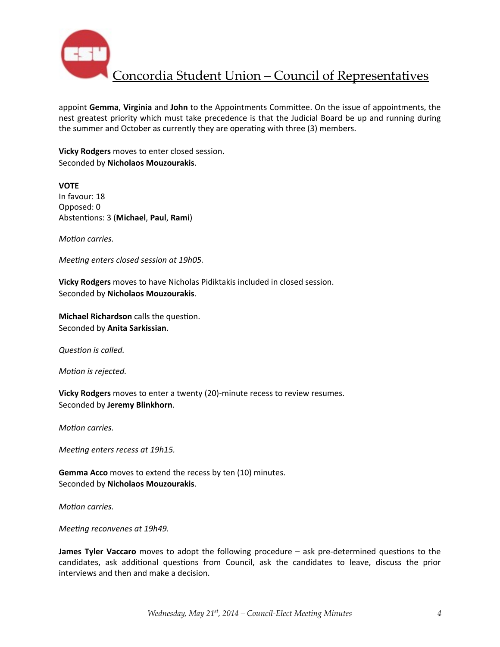

appoint Gemma, Virginia and John to the Appointments Committee. On the issue of appointments, the nest greatest priority which must take precedence is that the Judicial Board be up and running during the summer and October as currently they are operating with three (3) members.

**Vicky Rodgers** moves to enter closed session. Seconded by **Nicholaos Mouzourakis**.

**VOTE** In favour: 18 Opposed: 0 Abstentions: 3 (Michael, Paul, Rami)

*Motion carries.* 

*Meeting enters closed session at 19h05.* 

**Vicky Rodgers** moves to have Nicholas Pidiktakis included in closed session. Seconded by **Nicholaos Mouzourakis**.

**Michael Richardson** calls the question. Seconded by **Anita Sarkissian**.

**Question** is called.

*Motion is rejected.* 

**Vicky Rodgers** moves to enter a twenty (20)-minute recess to review resumes. Seconded by **Jeremy Blinkhorn**.

*Motion carries.* 

*Meeting enters recess at 19h15.* 

**Gemma Acco** moves to extend the recess by ten (10) minutes. Seconded by **Nicholaos Mouzourakis**.

*Motion carries.* 

*Meeting reconvenes at 19h49.* 

**James Tyler Vaccaro** moves to adopt the following procedure – ask pre-determined questions to the candidates, ask additional questions from Council, ask the candidates to leave, discuss the prior interviews and then and make a decision.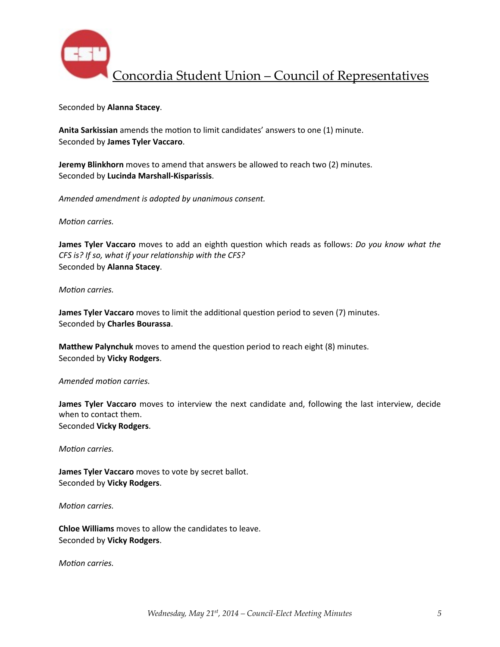

Seconded by **Alanna Stacey**.

Anita Sarkissian amends the motion to limit candidates' answers to one (1) minute. Seconded by **James Tyler Vaccaro**.

**Jeremy Blinkhorn** moves to amend that answers be allowed to reach two (2) minutes. Seconded by **Lucinda Marshall-Kisparissis**.

*Amended amendment is adopted by unanimous consent.*

*Motion carries.* 

**James Tyler Vaccaro** moves to add an eighth question which reads as follows: *Do you know what the CFS* is? If so, what if your relationship with the CFS? Seconded by **Alanna Stacey**.

*Motion carries.* 

**James Tyler Vaccaro** moves to limit the additional question period to seven (7) minutes. Seconded by **Charles Bourassa**.

**Matthew Palynchuk** moves to amend the question period to reach eight (8) minutes. Seconded by **Vicky Rodgers**.

#### Amended motion carries.

**James Tyler Vaccaro** moves to interview the next candidate and, following the last interview, decide when to contact them. Seconded **Vicky Rodgers**.

*Motion carries.* 

**James Tyler Vaccaro** moves to vote by secret ballot. Seconded by **Vicky Rodgers**.

*Motion carries.* 

**Chloe Williams** moves to allow the candidates to leave. Seconded by **Vicky Rodgers**.

*Motion carries.*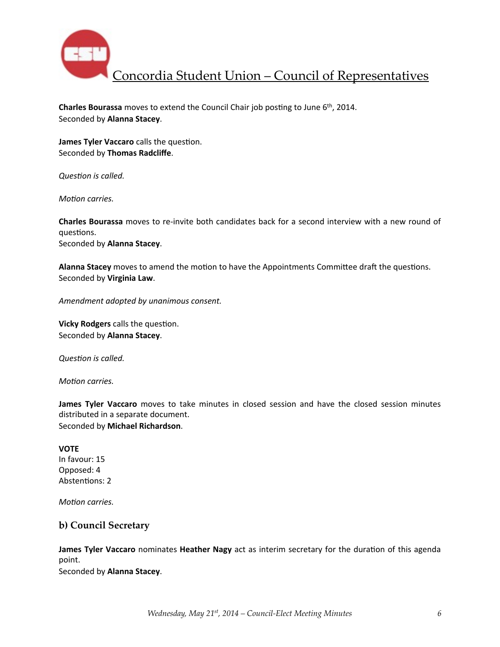

**Charles Bourassa** moves to extend the Council Chair job posting to June 6<sup>th</sup>, 2014. Seconded by **Alanna Stacey**.

**James Tyler Vaccaro** calls the question. Seconded by **Thomas Radcliffe**.

**Question** is called.

*Motion carries.* 

**Charles Bourassa** moves to re-invite both candidates back for a second interview with a new round of questions.

Seconded by **Alanna Stacey**.

Alanna Stacey moves to amend the motion to have the Appointments Committee draft the questions. Seconded by **Virginia Law**.

*Amendment adopted by unanimous consent.* 

**Vicky Rodgers** calls the question. Seconded by **Alanna Stacey**.

**Question** is called.

*Motion carries.* 

**James Tyler Vaccaro** moves to take minutes in closed session and have the closed session minutes distributed in a separate document. Seconded by **Michael Richardson**.

#### **VOTE**

In favour: 15 Opposed: 4 Abstentions: 2

*Motion carries.* 

### **b) Council Secretary**

**James Tyler Vaccaro** nominates **Heather Nagy** act as interim secretary for the duration of this agenda point.

Seconded by **Alanna Stacey**.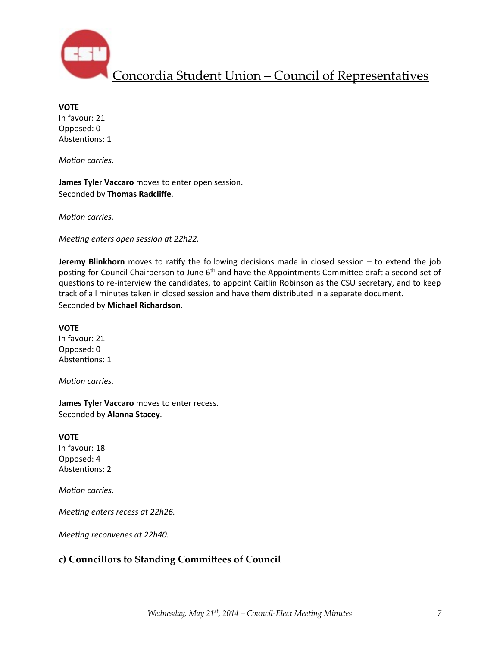

**VOTE** In favour: 21 Opposed: 0 Abstentions: 1

*Motion carries.* 

**James Tyler Vaccaro** moves to enter open session. Seconded by **Thomas Radcliffe**.

*Motion carries.* 

*Meeting enters open session at 22h22.* 

**Jeremy Blinkhorn** moves to ratify the following decisions made in closed session – to extend the job posting for Council Chairperson to June 6<sup>th</sup> and have the Appointments Committee draft a second set of questions to re-interview the candidates, to appoint Caitlin Robinson as the CSU secretary, and to keep track of all minutes taken in closed session and have them distributed in a separate document. Seconded by **Michael Richardson**.

**VOTE** In favour: 21 Opposed: 0 Abstentions: 1

*Motion carries.* 

**James Tyler Vaccaro** moves to enter recess. Seconded by **Alanna Stacey**.

**VOTE**

In favour: 18 Opposed: 4 Abstentions: 2

*Motion carries.* 

*Meeting enters recess at 22h26.* 

*Meeting reconvenes at 22h40.* 

## **c) Councillors to Standing Commibees of Council**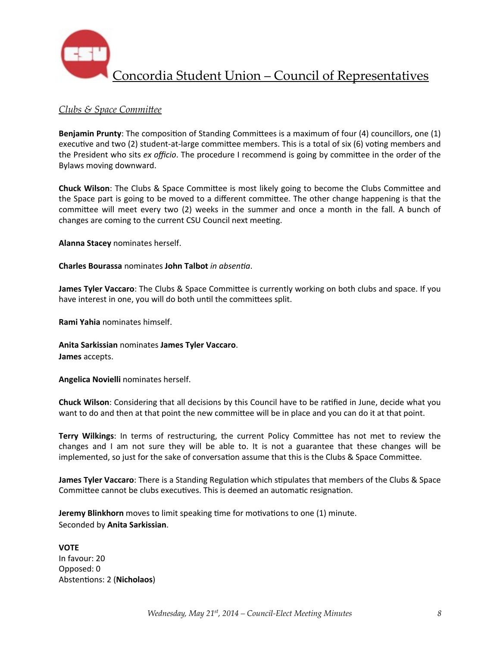

## *Clubs & Space Committee*

**Benjamin Prunty**: The composition of Standing Committees is a maximum of four (4) councillors, one (1) executive and two (2) student-at-large committee members. This is a total of six (6) voting members and the President who sits *ex officio*. The procedure I recommend is going by committee in the order of the Bylaws moving downward.

**Chuck Wilson**: The Clubs & Space Committee is most likely going to become the Clubs Committee and the Space part is going to be moved to a different committee. The other change happening is that the committee will meet every two (2) weeks in the summer and once a month in the fall. A bunch of changes are coming to the current CSU Council next meeting.

**Alanna Stacey** nominates herself.

**Charles Bourassa** nominates **John Talbot** *in absentia*.

**James Tyler Vaccaro**: The Clubs & Space Committee is currently working on both clubs and space. If you have interest in one, you will do both until the committees split.

**Rami Yahia** nominates himself.

**Anita Sarkissian** nominates **James Tyler Vaccaro**. **James** accepts.

**Angelica Novielli** nominates herself.

**Chuck Wilson**: Considering that all decisions by this Council have to be ratified in June, decide what you want to do and then at that point the new committee will be in place and you can do it at that point.

Terry Wilkings: In terms of restructuring, the current Policy Committee has not met to review the changes and I am not sure they will be able to. It is not a guarantee that these changes will be implemented, so just for the sake of conversation assume that this is the Clubs & Space Committee.

**James Tyler Vaccaro**: There is a Standing Regulation which stipulates that members of the Clubs & Space Committee cannot be clubs executives. This is deemed an automatic resignation.

**Jeremy Blinkhorn** moves to limit speaking time for motivations to one (1) minute. Seconded by **Anita Sarkissian**.

**VOTE** In favour: 20 Opposed: 0 Abstentions: 2 (Nicholaos)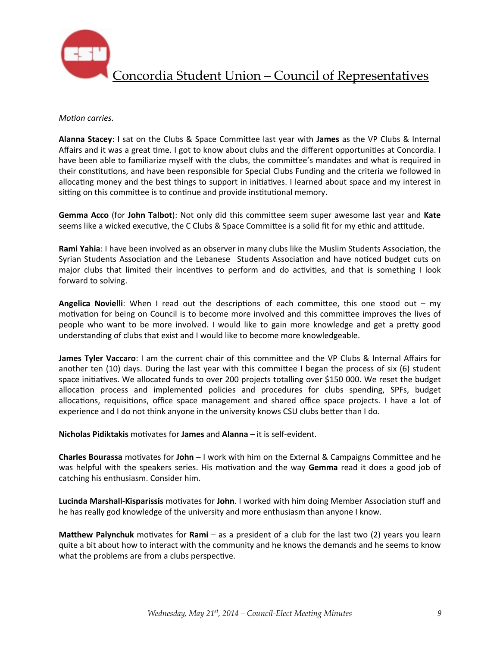

#### *Motion carries.*

Alanna Stacey: I sat on the Clubs & Space Committee last year with James as the VP Clubs & Internal Affairs and it was a great time. I got to know about clubs and the different opportunities at Concordia. I have been able to familiarize myself with the clubs, the committee's mandates and what is required in their constitutions, and have been responsible for Special Clubs Funding and the criteria we followed in allocating money and the best things to support in initiatives. I learned about space and my interest in sitting on this committee is to continue and provide institutional memory.

**Gemma Acco** (for John Talbot): Not only did this committee seem super awesome last year and Kate seems like a wicked executive, the C Clubs & Space Committee is a solid fit for my ethic and attitude.

**Rami Yahia**: I have been involved as an observer in many clubs like the Muslim Students Association, the Syrian Students Association and the Lebanese Students Association and have noticed budget cuts on major clubs that limited their incentives to perform and do activities, and that is something I look forward to solving.

**Angelica Novielli:** When I read out the descriptions of each committee, this one stood out – my motivation for being on Council is to become more involved and this committee improves the lives of people who want to be more involved. I would like to gain more knowledge and get a pretty good understanding of clubs that exist and I would like to become more knowledgeable.

**James Tyler Vaccaro**: I am the current chair of this committee and the VP Clubs & Internal Affairs for another ten  $(10)$  days. During the last year with this committee I began the process of six  $(6)$  student space initiatives. We allocated funds to over 200 projects totalling over \$150 000. We reset the budget allocation process and implemented policies and procedures for clubs spending, SPFs, budget allocations, requisitions, office space management and shared office space projects. I have a lot of experience and I do not think anyone in the university knows CSU clubs better than I do.

**Nicholas Pidiktakis** motivates for **James** and **Alanna** – it is self-evident.

**Charles Bourassa** motivates for John – I work with him on the External & Campaigns Committee and he was helpful with the speakers series. His motivation and the way Gemma read it does a good job of catching his enthusiasm. Consider him.

**Lucinda Marshall-Kisparissis** motivates for John. I worked with him doing Member Association stuff and he has really god knowledge of the university and more enthusiasm than anyone I know.

**Matthew Palynchuk** motivates for **Rami** – as a president of a club for the last two (2) years you learn quite a bit about how to interact with the community and he knows the demands and he seems to know what the problems are from a clubs perspective.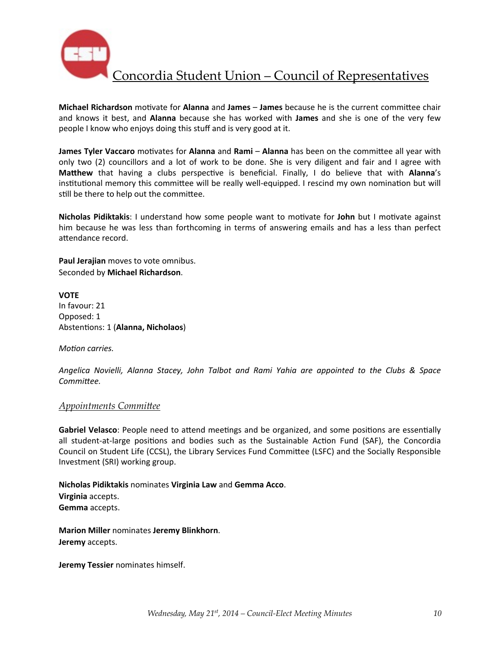

**Michael Richardson** motivate for **Alanna** and **James** – **James** because he is the current committee chair and knows it best, and **Alanna** because she has worked with **James** and she is one of the very few people I know who enjoys doing this stuff and is very good at it.

**James Tyler Vaccaro** motivates for Alanna and Rami – Alanna has been on the committee all year with only two (2) councillors and a lot of work to be done. She is very diligent and fair and I agree with **Matthew** that having a clubs perspective is beneficial. Finally, I do believe that with Alanna's institutional memory this committee will be really well-equipped. I rescind my own nomination but will still be there to help out the committee.

**Nicholas Pidiktakis:** I understand how some people want to motivate for John but I motivate against him because he was less than forthcoming in terms of answering emails and has a less than perfect attendance record.

**Paul Jerajian** moves to vote omnibus. Seconded by **Michael Richardson**.

**VOTE** In favour: 21 Opposed: 1 Abstentions: 1 (Alanna, Nicholaos)

*Motion carries.* 

*Angelica Novielli, Alanna Stacey, John Talbot and Rami Yahia are appointed to the Clubs & Space*  Committee.

### *Appointments Committee*

Gabriel Velasco: People need to attend meetings and be organized, and some positions are essentially all student-at-large positions and bodies such as the Sustainable Action Fund (SAF), the Concordia Council on Student Life (CCSL), the Library Services Fund Committee (LSFC) and the Socially Responsible Investment (SRI) working group.

**Nicholas Pidiktakis** nominates **Virginia Law** and **Gemma Acco**. **Virginia** accepts. **Gemma** accepts.

**Marion Miller** nominates **Jeremy Blinkhorn**. **Jeremy** accepts.

**Jeremy Tessier** nominates himself.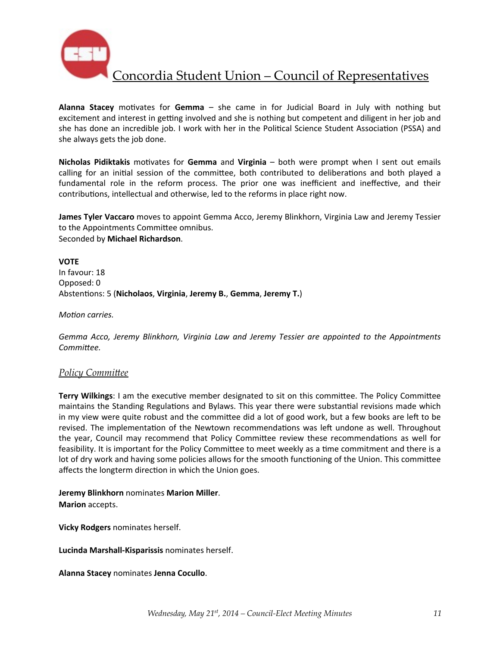

**Alanna Stacey** motivates for Gemma – she came in for Judicial Board in July with nothing but excitement and interest in getting involved and she is nothing but competent and diligent in her job and she has done an incredible job. I work with her in the Political Science Student Association (PSSA) and she always gets the job done.

**Nicholas Pidiktakis** motivates for **Gemma** and **Virginia** – both were prompt when I sent out emails calling for an initial session of the committee, both contributed to deliberations and both played a fundamental role in the reform process. The prior one was inefficient and ineffective, and their contributions, intellectual and otherwise, led to the reforms in place right now.

**James Tyler Vaccaro** moves to appoint Gemma Acco, Jeremy Blinkhorn, Virginia Law and Jeremy Tessier to the Appointments Committee omnibus. Seconded by **Michael Richardson**.

**VOTE** In favour: 18 Opposed: 0 Abstentions: 5 (Nicholaos, Virginia, Jeremy B., Gemma, Jeremy T.)

*Motion carries.* 

Gemma Acco, Jeremy Blinkhorn, Virginia Law and Jeremy Tessier are appointed to the Appointments Committee.

### **Policy Committee**

**Terry Wilkings**: I am the executive member designated to sit on this committee. The Policy Committee maintains the Standing Regulations and Bylaws. This year there were substantial revisions made which in my view were quite robust and the committee did a lot of good work, but a few books are left to be revised. The implementation of the Newtown recommendations was left undone as well. Throughout the year, Council may recommend that Policy Committee review these recommendations as well for feasibility. It is important for the Policy Committee to meet weekly as a time commitment and there is a lot of dry work and having some policies allows for the smooth functioning of the Union. This committee affects the longterm direction in which the Union goes.

**Jeremy Blinkhorn** nominates **Marion Miller**. **Marion** accepts.

**Vicky Rodgers** nominates herself.

**Lucinda Marshall-Kisparissis** nominates herself.

**Alanna Stacey** nominates **Jenna Cocullo**.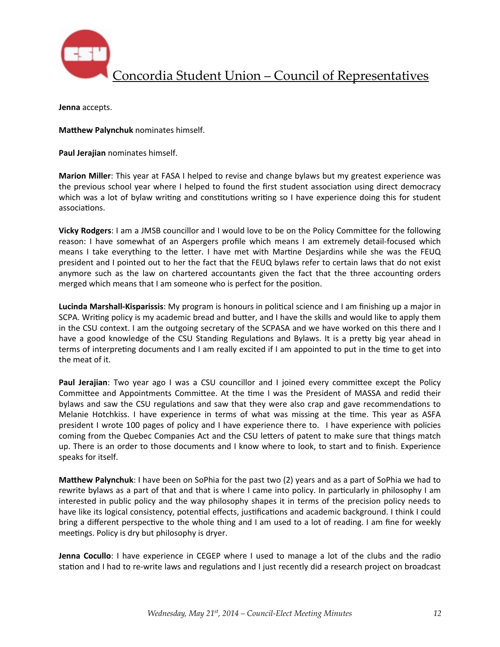

**Jenna** accepts.

**Matthew Palynchuk** nominates himself.

Paul Jerajian nominates himself.

**Marion Miller**: This year at FASA I helped to revise and change bylaws but my greatest experience was the previous school year where I helped to found the first student association using direct democracy which was a lot of bylaw writing and constitutions writing so I have experience doing this for student associations.

**Vicky Rodgers**: I am a JMSB councillor and I would love to be on the Policy Committee for the following reason: I have somewhat of an Aspergers profile which means I am extremely detail-focused which means I take everything to the letter. I have met with Martine Desjardins while she was the FEUQ president and I pointed out to her the fact that the FEUQ bylaws refer to certain laws that do not exist anymore such as the law on chartered accountants given the fact that the three accounting orders merged which means that I am someone who is perfect for the position.

**Lucinda Marshall-Kisparissis**: My program is honours in political science and I am finishing up a major in SCPA. Writing policy is my academic bread and butter, and I have the skills and would like to apply them in the CSU context. I am the outgoing secretary of the SCPASA and we have worked on this there and I have a good knowledge of the CSU Standing Regulations and Bylaws. It is a pretty big year ahead in terms of interpreting documents and I am really excited if I am appointed to put in the time to get into the meat of it.

**Paul Jerajian**: Two year ago I was a CSU councillor and I joined every committee except the Policy Committee and Appointments Committee. At the time I was the President of MASSA and redid their bylaws and saw the CSU regulations and saw that they were also crap and gave recommendations to Melanie Hotchkiss. I have experience in terms of what was missing at the time. This year as ASFA president I wrote 100 pages of policy and I have experience there to. I have experience with policies coming from the Quebec Companies Act and the CSU letters of patent to make sure that things match up. There is an order to those documents and I know where to look, to start and to finish. Experience speaks for itself.

**Matthew Palynchuk**: I have been on SoPhia for the past two (2) years and as a part of SoPhia we had to rewrite bylaws as a part of that and that is where I came into policy. In particularly in philosophy I am interested in public policy and the way philosophy shapes it in terms of the precision policy needs to have like its logical consistency, potential effects, justifications and academic background. I think I could bring a different perspective to the whole thing and I am used to a lot of reading. I am fine for weekly meetings. Policy is dry but philosophy is dryer.

**Jenna Cocullo**: I have experience in CEGEP where I used to manage a lot of the clubs and the radio station and I had to re-write laws and regulations and I just recently did a research project on broadcast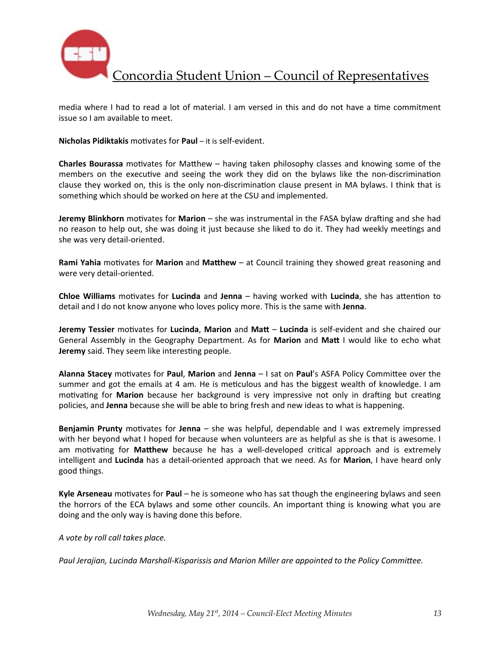

media where I had to read a lot of material. I am versed in this and do not have a time commitment issue so I am available to meet.

**Nicholas Pidiktakis** motivates for **Paul** – it is self-evident.

**Charles Bourassa** motivates for Matthew – having taken philosophy classes and knowing some of the members on the executive and seeing the work they did on the bylaws like the non-discrimination clause they worked on, this is the only non-discrimination clause present in MA bylaws. I think that is something which should be worked on here at the CSU and implemented.

**Jeremy Blinkhorn** motivates for Marion – she was instrumental in the FASA bylaw drafting and she had no reason to help out, she was doing it just because she liked to do it. They had weekly meetings and she was very detail-oriented.

**Rami Yahia** motivates for Marion and Matthew – at Council training they showed great reasoning and were very detail-oriented.

**Chloe Williams** motivates for Lucinda and Jenna – having worked with Lucinda, she has attention to detail and I do not know anyone who loves policy more. This is the same with **Jenna**.

**Jeremy Tessier** motivates for Lucinda, Marion and Matt - Lucinda is self-evident and she chaired our General Assembly in the Geography Department. As for Marion and Matt I would like to echo what **Jeremy** said. They seem like interesting people.

**Alanna Stacey** motivates for **Paul, Marion** and Jenna – I sat on Paul's ASFA Policy Committee over the summer and got the emails at 4 am. He is meticulous and has the biggest wealth of knowledge. I am motivating for Marion because her background is very impressive not only in drafting but creating policies, and **Jenna** because she will be able to bring fresh and new ideas to what is happening.

**Benjamin Prunty** motivates for **Jenna** – she was helpful, dependable and I was extremely impressed with her beyond what I hoped for because when volunteers are as helpful as she is that is awesome. I am motivating for Matthew because he has a well-developed critical approach and is extremely intelligent and Lucinda has a detail-oriented approach that we need. As for Marion, I have heard only good things.

**Kyle Arseneau** motivates for **Paul** – he is someone who has sat though the engineering bylaws and seen the horrors of the ECA bylaws and some other councils. An important thing is knowing what you are doing and the only way is having done this before.

*A vote by roll call takes place.*

Paul Jerajian, Lucinda Marshall-Kisparissis and Marion Miller are appointed to the Policy Committee.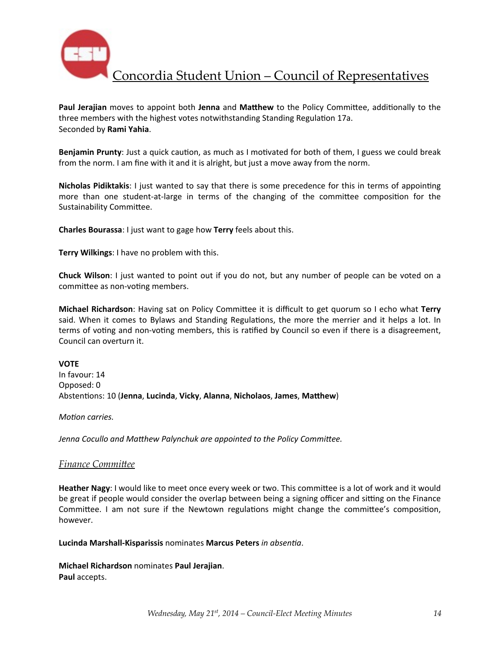

**Paul Jerajian** moves to appoint both Jenna and Matthew to the Policy Committee, additionally to the three members with the highest votes notwithstanding Standing Regulation 17a. Seconded by **Rami Yahia**.

**Benjamin Prunty**: Just a quick caution, as much as I motivated for both of them, I guess we could break from the norm. I am fine with it and it is alright, but just a move away from the norm.

**Nicholas Pidiktakis:** I just wanted to say that there is some precedence for this in terms of appointing more than one student-at-large in terms of the changing of the committee composition for the Sustainability Committee.

**Charles Bourassa**: I just want to gage how **Terry** feels about this.

**Terry Wilkings:** I have no problem with this.

**Chuck Wilson**: I just wanted to point out if you do not, but any number of people can be voted on a committee as non-voting members.

**Michael Richardson**: Having sat on Policy Committee it is difficult to get quorum so I echo what Terry said. When it comes to Bylaws and Standing Regulations, the more the merrier and it helps a lot. In terms of voting and non-voting members, this is ratified by Council so even if there is a disagreement, Council can overturn it.

**VOTE**

In favour: 14 Opposed: 0 Abstentions: 10 (Jenna, Lucinda, Vicky, Alanna, Nicholaos, James, Matthew)

*Motion carries.* 

Jenna Cocullo and Matthew Palynchuk are appointed to the Policy Committee.

### **Finance Committee**

Heather Nagy: I would like to meet once every week or two. This committee is a lot of work and it would be great if people would consider the overlap between being a signing officer and sitting on the Finance Committee. I am not sure if the Newtown regulations might change the committee's composition, however. 

**Lucinda Marshall-Kisparissis** nominates Marcus Peters in absentia.

**Michael Richardson** nominates **Paul Jerajian**. Paul accepts.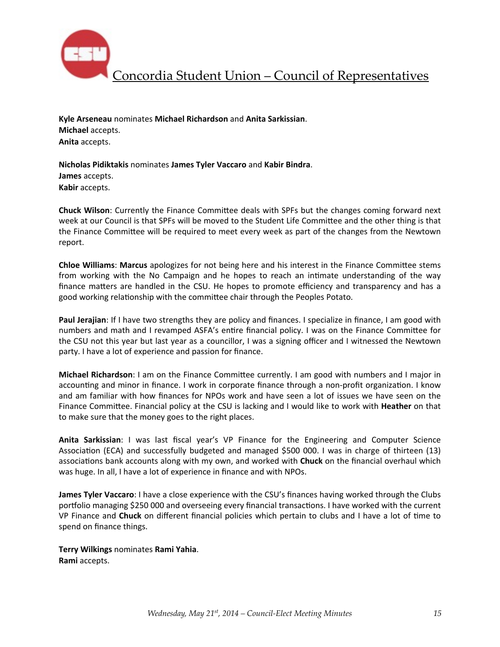

**Kyle Arseneau** nominates **Michael Richardson** and **Anita Sarkissian**. **Michael** accepts. **Anita** accepts.

**Nicholas Pidiktakis** nominates **James Tyler Vaccaro** and **Kabir Bindra**. **James** accepts. **Kabir** accepts.

**Chuck Wilson**: Currently the Finance Committee deals with SPFs but the changes coming forward next week at our Council is that SPFs will be moved to the Student Life Committee and the other thing is that the Finance Committee will be required to meet every week as part of the changes from the Newtown report.

**Chloe Williams: Marcus** apologizes for not being here and his interest in the Finance Committee stems from working with the No Campaign and he hopes to reach an intimate understanding of the way finance matters are handled in the CSU. He hopes to promote efficiency and transparency and has a good working relationship with the committee chair through the Peoples Potato.

**Paul Jerajian**: If I have two strengths they are policy and finances. I specialize in finance, I am good with numbers and math and I revamped ASFA's entire financial policy. I was on the Finance Committee for the CSU not this year but last year as a councillor, I was a signing officer and I witnessed the Newtown party. I have a lot of experience and passion for finance.

**Michael Richardson**: I am on the Finance Committee currently. I am good with numbers and I major in accounting and minor in finance. I work in corporate finance through a non-profit organization. I know and am familiar with how finances for NPOs work and have seen a lot of issues we have seen on the Finance Committee. Financial policy at the CSU is lacking and I would like to work with **Heather** on that to make sure that the money goes to the right places.

Anita Sarkissian: I was last fiscal year's VP Finance for the Engineering and Computer Science Association (ECA) and successfully budgeted and managed \$500 000. I was in charge of thirteen (13) associations bank accounts along with my own, and worked with **Chuck** on the financial overhaul which was huge. In all, I have a lot of experience in finance and with NPOs.

**James Tyler Vaccaro**: I have a close experience with the CSU's finances having worked through the Clubs portfolio managing \$250 000 and overseeing every financial transactions. I have worked with the current VP Finance and **Chuck** on different financial policies which pertain to clubs and I have a lot of time to spend on finance things.

**Terry Wilkings** nominates **Rami Yahia**. **Rami** accepts.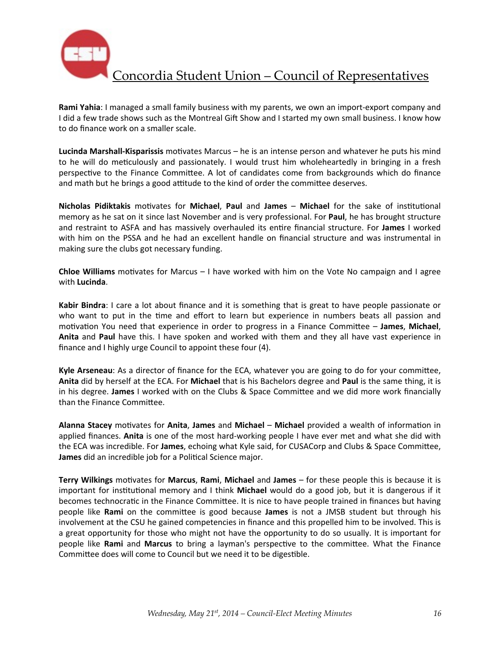

**Rami Yahia**: I managed a small family business with my parents, we own an import-export company and I did a few trade shows such as the Montreal Gift Show and I started my own small business. I know how to do finance work on a smaller scale.

**Lucinda Marshall-Kisparissis** motivates Marcus – he is an intense person and whatever he puts his mind to he will do meticulously and passionately. I would trust him wholeheartedly in bringing in a fresh perspective to the Finance Committee. A lot of candidates come from backgrounds which do finance and math but he brings a good attitude to the kind of order the committee deserves.

**Nicholas Pidiktakis** motivates for **Michael**, Paul and James – Michael for the sake of institutional memory as he sat on it since last November and is very professional. For **Paul**, he has brought structure and restraint to ASFA and has massively overhauled its entire financial structure. For James I worked with him on the PSSA and he had an excellent handle on financial structure and was instrumental in making sure the clubs got necessary funding.

**Chloe Williams** motivates for Marcus – I have worked with him on the Vote No campaign and I agree with **Lucinda**.

Kabir Bindra: I care a lot about finance and it is something that is great to have people passionate or who want to put in the time and effort to learn but experience in numbers beats all passion and motivation You need that experience in order to progress in a Finance Committee – **James**, Michael, **Anita** and Paul have this. I have spoken and worked with them and they all have vast experience in finance and I highly urge Council to appoint these four (4).

**Kyle Arseneau:** As a director of finance for the ECA, whatever you are going to do for your committee, **Anita** did by herself at the ECA. For **Michael** that is his Bachelors degree and **Paul** is the same thing, it is in his degree. James I worked with on the Clubs & Space Committee and we did more work financially than the Finance Committee.

Alanna Stacey motivates for Anita, James and Michael – Michael provided a wealth of information in applied finances. Anita is one of the most hard-working people I have ever met and what she did with the ECA was incredible. For James, echoing what Kyle said, for CUSACorp and Clubs & Space Committee, **James** did an incredible job for a Political Science major.

**Terry Wilkings** motivates for Marcus, Rami, Michael and James – for these people this is because it is important for institutional memory and I think **Michael** would do a good job, but it is dangerous if it becomes technocratic in the Finance Committee. It is nice to have people trained in finances but having people like **Rami** on the committee is good because James is not a JMSB student but through his involvement at the CSU he gained competencies in finance and this propelled him to be involved. This is a great opportunity for those who might not have the opportunity to do so usually. It is important for people like **Rami** and **Marcus** to bring a layman's perspective to the committee. What the Finance Committee does will come to Council but we need it to be digestible.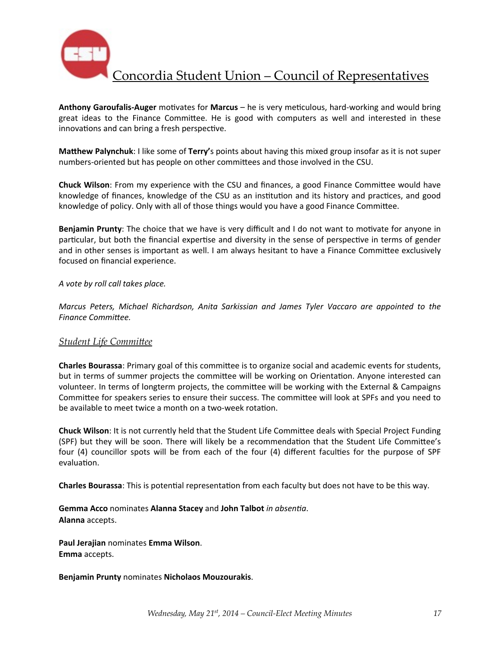

Anthony Garoufalis-Auger motivates for Marcus – he is very meticulous, hard-working and would bring great ideas to the Finance Committee. He is good with computers as well and interested in these innovations and can bring a fresh perspective.

**Matthew Palynchuk**: I like some of **Terry'**s points about having this mixed group insofar as it is not super numbers-oriented but has people on other committees and those involved in the CSU.

**Chuck Wilson**: From my experience with the CSU and finances, a good Finance Committee would have knowledge of finances, knowledge of the CSU as an institution and its history and practices, and good knowledge of policy. Only with all of those things would you have a good Finance Committee.

**Benjamin Prunty**: The choice that we have is very difficult and I do not want to motivate for anyone in particular, but both the financial expertise and diversity in the sense of perspective in terms of gender and in other senses is important as well. I am always hesitant to have a Finance Committee exclusively focused on financial experience.

#### *A vote by roll call takes place.*

*Marcus Peters, Michael Richardson, Anita Sarkissian and James Tyler Vaccaro are appointed to the Finance Committee.* 

### **Student Life Committee**

**Charles Bourassa**: Primary goal of this committee is to organize social and academic events for students, but in terms of summer projects the committee will be working on Orientation. Anyone interested can volunteer. In terms of longterm projects, the committee will be working with the External & Campaigns Committee for speakers series to ensure their success. The committee will look at SPFs and you need to be available to meet twice a month on a two-week rotation.

**Chuck Wilson**: It is not currently held that the Student Life Committee deals with Special Project Funding (SPF) but they will be soon. There will likely be a recommendation that the Student Life Committee's four (4) councillor spots will be from each of the four (4) different faculties for the purpose of SPF evaluation.

**Charles Bourassa**: This is potential representation from each faculty but does not have to be this way.

### **Gemma Acco** nominates **Alanna Stacey** and **John Talbot** in absentia. **Alanna** accepts.

**Paul Jerajian** nominates **Emma Wilson**. **Emma** accepts.

**Benjamin Prunty** nominates **Nicholaos Mouzourakis**.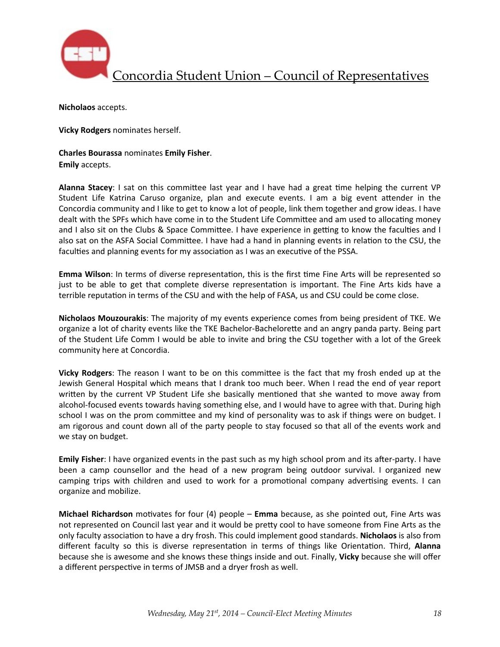

**Nicholaos** accepts.

**Vicky Rodgers** nominates herself.

**Charles Bourassa** nominates **Emily Fisher**. **Emily** accepts.

**Alanna Stacey**: I sat on this committee last year and I have had a great time helping the current VP Student Life Katrina Caruso organize, plan and execute events. I am a big event attender in the Concordia community and I like to get to know a lot of people, link them together and grow ideas. I have dealt with the SPFs which have come in to the Student Life Committee and am used to allocating money and I also sit on the Clubs & Space Committee. I have experience in getting to know the faculties and I also sat on the ASFA Social Committee. I have had a hand in planning events in relation to the CSU, the faculties and planning events for my association as I was an executive of the PSSA.

**Emma Wilson**: In terms of diverse representation, this is the first time Fine Arts will be represented so just to be able to get that complete diverse representation is important. The Fine Arts kids have a terrible reputation in terms of the CSU and with the help of FASA, us and CSU could be come close.

**Nicholaos Mouzourakis**: The majority of my events experience comes from being president of TKE. We organize a lot of charity events like the TKE Bachelor-Bachelorette and an angry panda party. Being part of the Student Life Comm I would be able to invite and bring the CSU together with a lot of the Greek community here at Concordia.

**Vicky Rodgers**: The reason I want to be on this committee is the fact that my frosh ended up at the Jewish General Hospital which means that I drank too much beer. When I read the end of year report written by the current VP Student Life she basically mentioned that she wanted to move away from alcohol-focused events towards having something else, and I would have to agree with that. During high school I was on the prom committee and my kind of personality was to ask if things were on budget. I am rigorous and count down all of the party people to stay focused so that all of the events work and we stay on budget.

**Emily Fisher**: I have organized events in the past such as my high school prom and its after-party. I have been a camp counsellor and the head of a new program being outdoor survival. I organized new camping trips with children and used to work for a promotional company advertising events. I can organize and mobilize.

**Michael Richardson** motivates for four (4) people – **Emma** because, as she pointed out, Fine Arts was not represented on Council last year and it would be pretty cool to have someone from Fine Arts as the only faculty association to have a dry frosh. This could implement good standards. **Nicholaos** is also from different faculty so this is diverse representation in terms of things like Orientation. Third, Alanna because she is awesome and she knows these things inside and out. Finally, Vicky because she will offer a different perspective in terms of JMSB and a dryer frosh as well.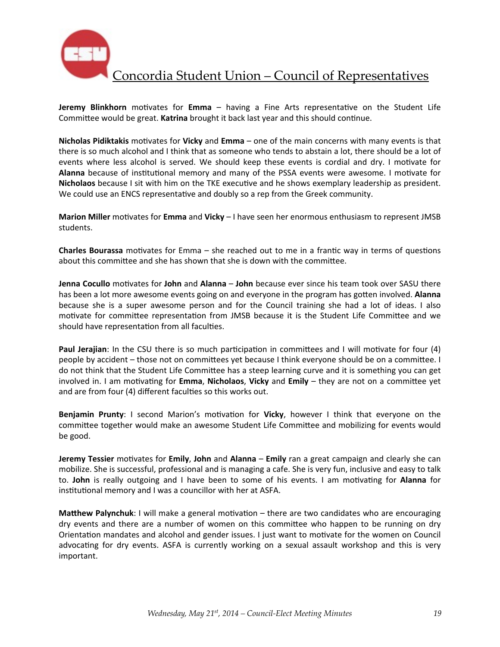

**Jeremy Blinkhorn** motivates for Emma - having a Fine Arts representative on the Student Life Committee would be great. **Katrina** brought it back last year and this should continue.

**Nicholas Pidiktakis** motivates for **Vicky** and **Emma** – one of the main concerns with many events is that there is so much alcohol and I think that as someone who tends to abstain a lot, there should be a lot of events where less alcohol is served. We should keep these events is cordial and dry. I motivate for Alanna because of institutional memory and many of the PSSA events were awesome. I motivate for **Nicholaos** because I sit with him on the TKE executive and he shows exemplary leadership as president. We could use an ENCS representative and doubly so a rep from the Greek community.

**Marion Miller** motivates for **Emma** and **Vicky** – I have seen her enormous enthusiasm to represent JMSB students. 

**Charles Bourassa** motivates for Emma – she reached out to me in a frantic way in terms of questions about this committee and she has shown that she is down with the committee.

**Jenna Cocullo** motivates for **John** and **Alanna** – **John** because ever since his team took over SASU there has been a lot more awesome events going on and everyone in the program has gotten involved. Alanna because she is a super awesome person and for the Council training she had a lot of ideas. I also motivate for committee representation from JMSB because it is the Student Life Committee and we should have representation from all faculties.

**Paul Jerajian**: In the CSU there is so much participation in committees and I will motivate for four (4) people by accident – those not on committees yet because I think everyone should be on a committee. I do not think that the Student Life Committee has a steep learning curve and it is something you can get involved in. I am motivating for **Emma, Nicholaos, Vicky** and **Emily** – they are not on a committee yet and are from four (4) different faculties so this works out.

**Benjamin Prunty:** I second Marion's motivation for Vicky, however I think that everyone on the committee together would make an awesome Student Life Committee and mobilizing for events would be good.

**Jeremy Tessier** motivates for **Emily**, John and Alanna – Emily ran a great campaign and clearly she can mobilize. She is successful, professional and is managing a cafe. She is very fun, inclusive and easy to talk to. **John** is really outgoing and I have been to some of his events. I am motivating for Alanna for institutional memory and I was a councillor with her at ASFA.

**Matthew Palynchuk**: I will make a general motivation – there are two candidates who are encouraging dry events and there are a number of women on this committee who happen to be running on dry Orientation mandates and alcohol and gender issues. I just want to motivate for the women on Council advocating for dry events. ASFA is currently working on a sexual assault workshop and this is very important.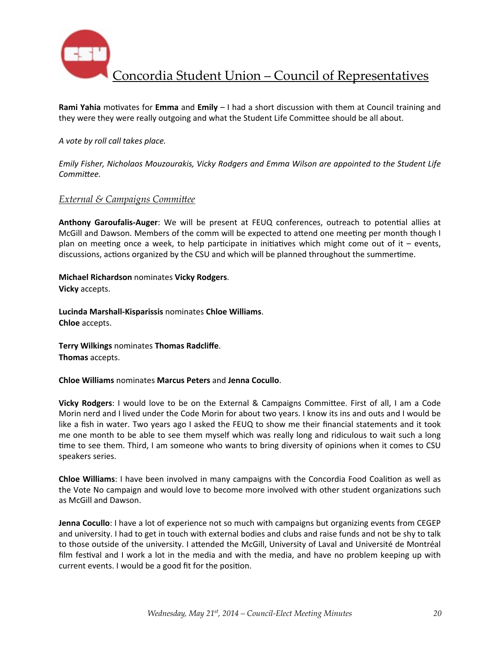

**Rami Yahia** motivates for **Emma** and **Emily** – I had a short discussion with them at Council training and they were they were really outgoing and what the Student Life Committee should be all about.

#### *A vote by roll call takes place.*

*Emily Fisher, Nicholaos Mouzourakis, Vicky Rodgers and Emma Wilson are appointed to the Student Life* Committee.

#### *External & Campaigns Committee*

Anthony Garoufalis-Auger: We will be present at FEUQ conferences, outreach to potential allies at McGill and Dawson. Members of the comm will be expected to attend one meeting per month though I plan on meeting once a week, to help participate in initiatives which might come out of it – events, discussions, actions organized by the CSU and which will be planned throughout the summertime.

**Michael Richardson** nominates **Vicky Rodgers**. **Vicky** accepts.

**Lucinda Marshall-Kisparissis** nominates **Chloe Williams**. **Chloe** accepts.

**Terry Wilkings** nominates **Thomas Radcliffe**. **Thomas** accepts.

**Chloe Williams** nominates **Marcus Peters** and **Jenna Cocullo**.

**Vicky Rodgers**: I would love to be on the External & Campaigns Committee. First of all, I am a Code Morin nerd and I lived under the Code Morin for about two years. I know its ins and outs and I would be like a fish in water. Two years ago I asked the FEUQ to show me their financial statements and it took me one month to be able to see them myself which was really long and ridiculous to wait such a long time to see them. Third, I am someone who wants to bring diversity of opinions when it comes to CSU speakers series.

**Chloe Williams**: I have been involved in many campaigns with the Concordia Food Coalition as well as the Vote No campaign and would love to become more involved with other student organizations such as McGill and Dawson.

**Jenna Cocullo**: I have a lot of experience not so much with campaigns but organizing events from CEGEP and university. I had to get in touch with external bodies and clubs and raise funds and not be shy to talk to those outside of the university. I attended the McGill, University of Laval and Université de Montréal film festival and I work a lot in the media and with the media, and have no problem keeping up with current events. I would be a good fit for the position.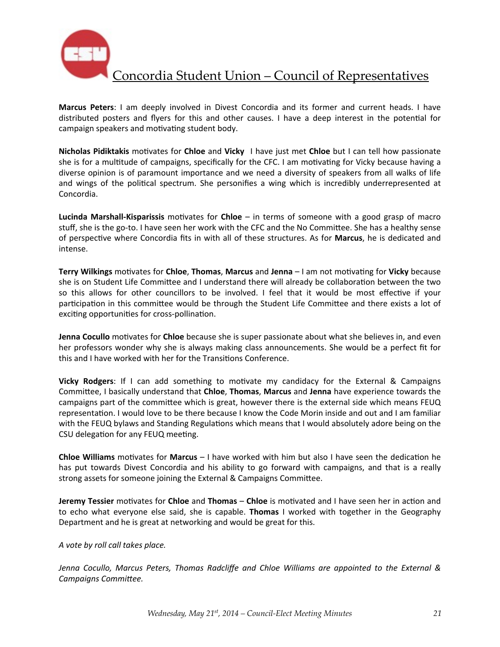

**Marcus Peters**: I am deeply involved in Divest Concordia and its former and current heads. I have distributed posters and flyers for this and other causes. I have a deep interest in the potential for campaign speakers and motivating student body.

**Nicholas Pidiktakis** motivates for **Chloe** and Vicky I have just met Chloe but I can tell how passionate she is for a multitude of campaigns, specifically for the CFC. I am motivating for Vicky because having a diverse opinion is of paramount importance and we need a diversity of speakers from all walks of life and wings of the political spectrum. She personifies a wing which is incredibly underrepresented at Concordia.

**Lucinda Marshall-Kisparissis** motivates for **Chloe** – in terms of someone with a good grasp of macro stuff, she is the go-to. I have seen her work with the CFC and the No Committee. She has a healthy sense of perspective where Concordia fits in with all of these structures. As for Marcus, he is dedicated and intense. 

**Terry Wilkings** motivates for **Chloe**, **Thomas**, Marcus and Jenna – I am not motivating for Vicky because she is on Student Life Committee and I understand there will already be collaboration between the two so this allows for other councillors to be involved. I feel that it would be most effective if your participation in this committee would be through the Student Life Committee and there exists a lot of exciting opportunities for cross-pollination.

**Jenna Cocullo** motivates for **Chloe** because she is super passionate about what she believes in, and even her professors wonder why she is always making class announcements. She would be a perfect fit for this and I have worked with her for the Transitions Conference.

**Vicky Rodgers:** If I can add something to motivate my candidacy for the External & Campaigns Committee, I basically understand that **Chloe, Thomas, Marcus** and Jenna have experience towards the campaigns part of the committee which is great, however there is the external side which means FEUQ representation. I would love to be there because I know the Code Morin inside and out and I am familiar with the FEUQ bylaws and Standing Regulations which means that I would absolutely adore being on the CSU delegation for any FEUQ meeting.

**Chloe Williams** motivates for **Marcus** – I have worked with him but also I have seen the dedication he has put towards Divest Concordia and his ability to go forward with campaigns, and that is a really strong assets for someone joining the External & Campaigns Committee.

**Jeremy Tessier** motivates for *Chloe* and *Thomas* – *Chloe* is motivated and I have seen her in action and to echo what everyone else said, she is capable. Thomas I worked with together in the Geography Department and he is great at networking and would be great for this.

*A vote by roll call takes place.*

*Jenna Cocullo, Marcus Peters, Thomas Radcliffe and Chloe Williams are appointed to the External &* Campaigns Committee.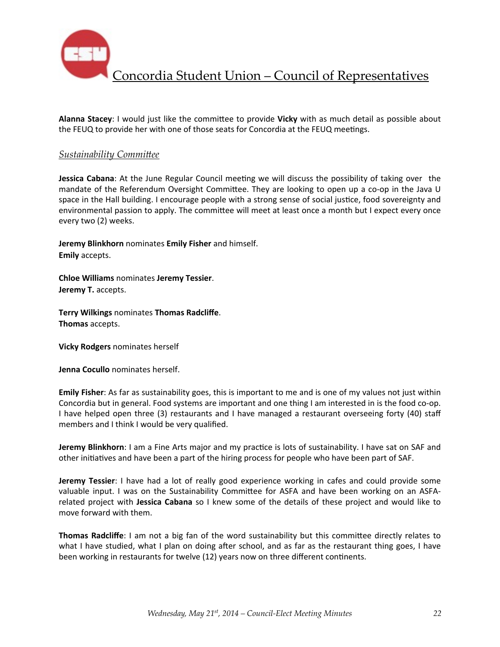

Alanna Stacey: I would just like the committee to provide Vicky with as much detail as possible about the FEUQ to provide her with one of those seats for Concordia at the FEUQ meetings.

#### **Sustainability Committee**

**Jessica Cabana**: At the June Regular Council meeting we will discuss the possibility of taking over the mandate of the Referendum Oversight Committee. They are looking to open up a co-op in the Java U space in the Hall building. I encourage people with a strong sense of social justice, food sovereignty and environmental passion to apply. The committee will meet at least once a month but I expect every once every two (2) weeks.

**Jeremy Blinkhorn** nominates **Emily Fisher** and himself. **Emily** accepts.

**Chloe Williams** nominates **Jeremy Tessier**. **Jeremy T.** accepts.

**Terry Wilkings** nominates **Thomas Radcliffe**. **Thomas** accepts.

**Vicky Rodgers** nominates herself

**Jenna Cocullo** nominates herself.

**Emily Fisher**: As far as sustainability goes, this is important to me and is one of my values not just within Concordia but in general. Food systems are important and one thing I am interested in is the food co-op. I have helped open three (3) restaurants and I have managed a restaurant overseeing forty (40) staff members and I think I would be very qualified.

**Jeremy Blinkhorn**: I am a Fine Arts major and my practice is lots of sustainability. I have sat on SAF and other initiatives and have been a part of the hiring process for people who have been part of SAF.

**Jeremy Tessier**: I have had a lot of really good experience working in cafes and could provide some valuable input. I was on the Sustainability Committee for ASFA and have been working on an ASFArelated project with **Jessica Cabana** so I knew some of the details of these project and would like to move forward with them.

**Thomas Radcliffe**: I am not a big fan of the word sustainability but this committee directly relates to what I have studied, what I plan on doing after school, and as far as the restaurant thing goes, I have been working in restaurants for twelve (12) years now on three different continents.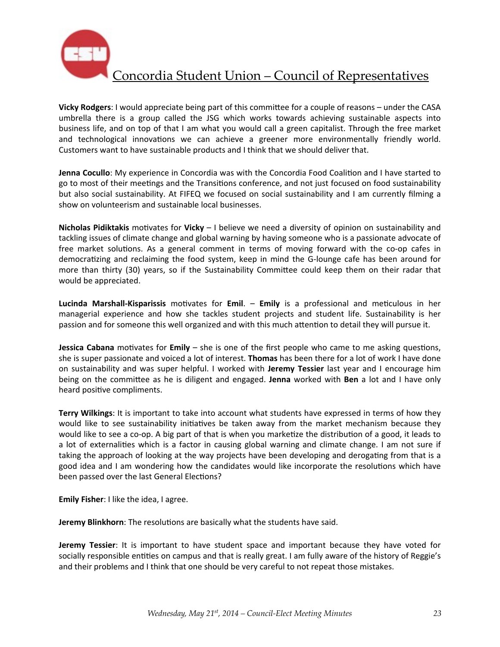

**Vicky Rodgers**: I would appreciate being part of this committee for a couple of reasons – under the CASA umbrella there is a group called the JSG which works towards achieving sustainable aspects into business life, and on top of that I am what you would call a green capitalist. Through the free market and technological innovations we can achieve a greener more environmentally friendly world. Customers want to have sustainable products and I think that we should deliver that.

**Jenna Cocullo**: My experience in Concordia was with the Concordia Food Coalition and I have started to go to most of their meetings and the Transitions conference, and not just focused on food sustainability but also social sustainability. At FIFEQ we focused on social sustainability and I am currently filming a show on volunteerism and sustainable local businesses.

**Nicholas Pidiktakis** motivates for **Vicky** – I believe we need a diversity of opinion on sustainability and tackling issues of climate change and global warning by having someone who is a passionate advocate of free market solutions. As a general comment in terms of moving forward with the co-op cafes in democratizing and reclaiming the food system, keep in mind the G-lounge cafe has been around for more than thirty (30) years, so if the Sustainability Committee could keep them on their radar that would be appreciated.

**Lucinda Marshall-Kisparissis** motivates for **Emil.** – **Emily** is a professional and meticulous in her managerial experience and how she tackles student projects and student life. Sustainability is her passion and for someone this well organized and with this much attention to detail they will pursue it.

**Jessica Cabana** motivates for **Emily** – she is one of the first people who came to me asking questions, she is super passionate and voiced a lot of interest. **Thomas** has been there for a lot of work I have done on sustainability and was super helpful. I worked with **Jeremy Tessier** last year and I encourage him being on the committee as he is diligent and engaged. **Jenna** worked with **Ben** a lot and I have only heard positive compliments.

Terry Wilkings: It is important to take into account what students have expressed in terms of how they would like to see sustainability initiatives be taken away from the market mechanism because they would like to see a co-op. A big part of that is when you marketize the distribution of a good, it leads to a lot of externalities which is a factor in causing global warning and climate change. I am not sure if taking the approach of looking at the way projects have been developing and derogating from that is a good idea and I am wondering how the candidates would like incorporate the resolutions which have been passed over the last General Elections?

**Emily Fisher:** I like the idea, I agree.

**Jeremy Blinkhorn**: The resolutions are basically what the students have said.

**Jeremy Tessier**: It is important to have student space and important because they have voted for socially responsible entities on campus and that is really great. I am fully aware of the history of Reggie's and their problems and I think that one should be very careful to not repeat those mistakes.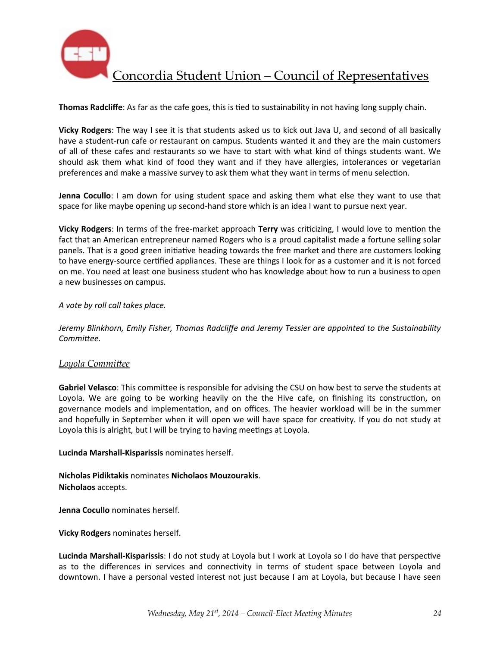

**Thomas Radcliffe**: As far as the cafe goes, this is tied to sustainability in not having long supply chain.

**Vicky Rodgers**: The way I see it is that students asked us to kick out Java U, and second of all basically have a student-run cafe or restaurant on campus. Students wanted it and they are the main customers of all of these cafes and restaurants so we have to start with what kind of things students want. We should ask them what kind of food they want and if they have allergies, intolerances or vegetarian preferences and make a massive survey to ask them what they want in terms of menu selection.

**Jenna Cocullo**: I am down for using student space and asking them what else they want to use that space for like maybe opening up second-hand store which is an idea I want to pursue next year.

**Vicky Rodgers**: In terms of the free-market approach **Terry** was criticizing, I would love to mention the fact that an American entrepreneur named Rogers who is a proud capitalist made a fortune selling solar panels. That is a good green initiative heading towards the free market and there are customers looking to have energy-source certified appliances. These are things I look for as a customer and it is not forced on me. You need at least one business student who has knowledge about how to run a business to open a new businesses on campus.

*A vote by roll call takes place.*

Jeremy Blinkhorn, Emily Fisher, Thomas Radcliffe and Jeremy Tessier are appointed to the Sustainability Committee.

#### **Loyola Committee**

**Gabriel Velasco**: This committee is responsible for advising the CSU on how best to serve the students at Loyola. We are going to be working heavily on the the Hive cafe, on finishing its construction, on governance models and implementation, and on offices. The heavier workload will be in the summer and hopefully in September when it will open we will have space for creativity. If you do not study at Loyola this is alright, but I will be trying to having meetings at Loyola.

**Lucinda Marshall-Kisparissis** nominates herself.

**Nicholas Pidiktakis** nominates **Nicholaos Mouzourakis**. **Nicholaos** accepts.

**Jenna Cocullo** nominates herself.

**Vicky Rodgers** nominates herself.

**Lucinda Marshall-Kisparissis**: I do not study at Loyola but I work at Loyola so I do have that perspective as to the differences in services and connectivity in terms of student space between Loyola and downtown. I have a personal vested interest not just because I am at Loyola, but because I have seen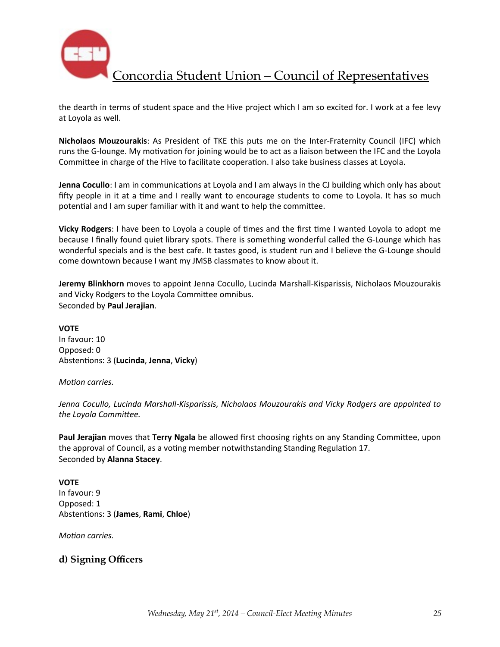

the dearth in terms of student space and the Hive project which I am so excited for. I work at a fee levy at Loyola as well.

**Nicholaos Mouzourakis**: As President of TKE this puts me on the Inter-Fraternity Council (IFC) which runs the G-lounge. My motivation for joining would be to act as a liaison between the IFC and the Loyola Committee in charge of the Hive to facilitate cooperation. I also take business classes at Loyola.

**Jenna Cocullo**: I am in communications at Loyola and I am always in the CJ building which only has about fifty people in it at a time and I really want to encourage students to come to Loyola. It has so much potential and I am super familiar with it and want to help the committee.

**Vicky Rodgers**: I have been to Loyola a couple of times and the first time I wanted Loyola to adopt me because I finally found quiet library spots. There is something wonderful called the G-Lounge which has wonderful specials and is the best cafe. It tastes good, is student run and I believe the G-Lounge should come downtown because I want my JMSB classmates to know about it.

**Jeremy Blinkhorn** moves to appoint Jenna Cocullo, Lucinda Marshall-Kisparissis, Nicholaos Mouzourakis and Vicky Rodgers to the Loyola Committee omnibus. Seconded by **Paul Jerajian**.

# **VOTE**

In favour: 10 Opposed: 0 Abstentions: 3 (Lucinda, Jenna, Vicky)

#### *Motion carries.*

Jenna Cocullo, Lucinda Marshall-Kisparissis, Nicholaos Mouzourakis and Vicky Rodgers are appointed to the Loyola Committee.

**Paul Jerajian** moves that **Terry Ngala** be allowed first choosing rights on any Standing Committee, upon the approval of Council, as a voting member notwithstanding Standing Regulation 17. Seconded by **Alanna Stacey**.

#### **VOTE**

In favour: 9 Opposed: 1 Abstentions: 3 (James, Rami, Chloe)

*Motion carries.* 

## **d) Signing Officers**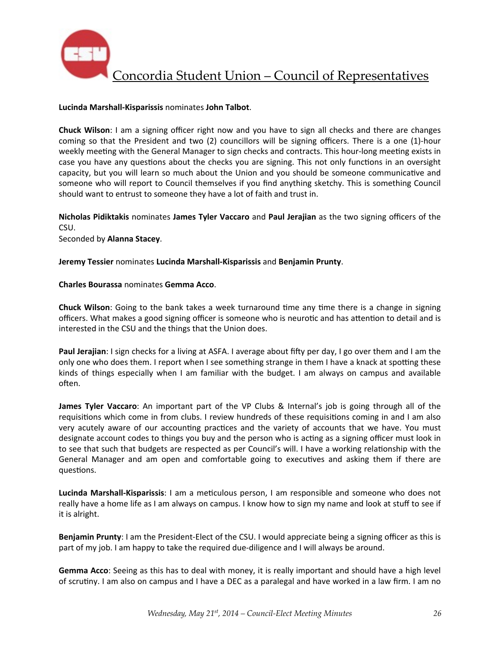

#### **Lucinda Marshall-Kisparissis** nominates **John Talbot**.

**Chuck Wilson**: I am a signing officer right now and you have to sign all checks and there are changes coming so that the President and two (2) councillors will be signing officers. There is a one (1)-hour weekly meeting with the General Manager to sign checks and contracts. This hour-long meeting exists in case you have any questions about the checks you are signing. This not only functions in an oversight capacity, but you will learn so much about the Union and you should be someone communicative and someone who will report to Council themselves if you find anything sketchy. This is something Council should want to entrust to someone they have a lot of faith and trust in.

**Nicholas Pidiktakis** nominates James Tyler Vaccaro and Paul Jerajian as the two signing officers of the CSU.

Seconded by **Alanna Stacey**.

#### **Jeremy Tessier** nominates **Lucinda Marshall-Kisparissis** and **Benjamin Prunty**.

#### **Charles Bourassa** nominates **Gemma Acco**.

**Chuck Wilson**: Going to the bank takes a week turnaround time any time there is a change in signing officers. What makes a good signing officer is someone who is neurotic and has attention to detail and is interested in the CSU and the things that the Union does.

**Paul Jerajian**: I sign checks for a living at ASFA. I average about fifty per day, I go over them and I am the only one who does them. I report when I see something strange in them I have a knack at spotting these kinds of things especially when I am familiar with the budget. I am always on campus and available often.

**James Tyler Vaccaro**: An important part of the VP Clubs & Internal's job is going through all of the requisitions which come in from clubs. I review hundreds of these requisitions coming in and I am also very acutely aware of our accounting practices and the variety of accounts that we have. You must designate account codes to things you buy and the person who is acting as a signing officer must look in to see that such that budgets are respected as per Council's will. I have a working relationship with the General Manager and am open and comfortable going to executives and asking them if there are questions.

**Lucinda Marshall-Kisparissis**: I am a meticulous person, I am responsible and someone who does not really have a home life as I am always on campus. I know how to sign my name and look at stuff to see if it is alright.

**Benjamin Prunty**: I am the President-Elect of the CSU. I would appreciate being a signing officer as this is part of my job. I am happy to take the required due-diligence and I will always be around.

**Gemma Acco**: Seeing as this has to deal with money, it is really important and should have a high level of scrutiny. I am also on campus and I have a DEC as a paralegal and have worked in a law firm. I am no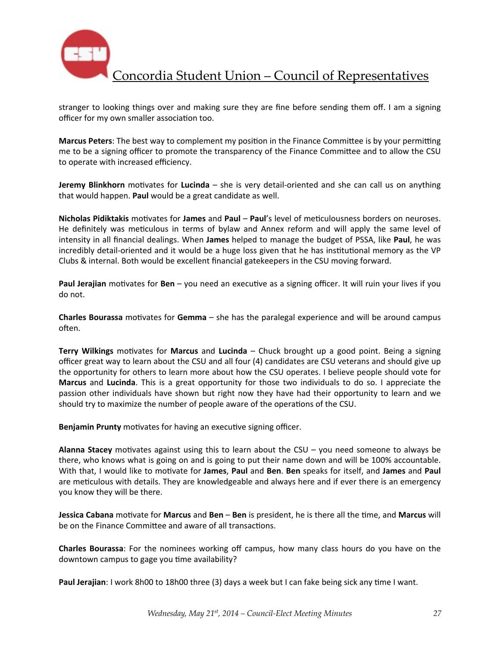

stranger to looking things over and making sure they are fine before sending them off. I am a signing officer for my own smaller association too.

**Marcus Peters**: The best way to complement my position in the Finance Committee is by your permitting me to be a signing officer to promote the transparency of the Finance Committee and to allow the CSU to operate with increased efficiency.

**Jeremy Blinkhorn** motivates for **Lucinda** – she is very detail-oriented and she can call us on anything that would happen. **Paul** would be a great candidate as well.

**Nicholas Pidiktakis** motivates for James and Paul – Paul's level of meticulousness borders on neuroses. He definitely was meticulous in terms of bylaw and Annex reform and will apply the same level of intensity in all financial dealings. When James helped to manage the budget of PSSA, like Paul, he was incredibly detail-oriented and it would be a huge loss given that he has institutional memory as the VP Clubs & internal. Both would be excellent financial gatekeepers in the CSU moving forward.

**Paul Jerajian** motivates for **Ben** – you need an executive as a signing officer. It will ruin your lives if you do not.

**Charles Bourassa** motivates for **Gemma** – she has the paralegal experience and will be around campus often.

**Terry Wilkings** motivates for **Marcus** and Lucinda – Chuck brought up a good point. Being a signing officer great way to learn about the CSU and all four (4) candidates are CSU veterans and should give up the opportunity for others to learn more about how the CSU operates. I believe people should vote for **Marcus** and **Lucinda**. This is a great opportunity for those two individuals to do so. I appreciate the passion other individuals have shown but right now they have had their opportunity to learn and we should try to maximize the number of people aware of the operations of the CSU.

**Benjamin Prunty** motivates for having an executive signing officer.

**Alanna Stacey** motivates against using this to learn about the CSU – you need someone to always be there, who knows what is going on and is going to put their name down and will be 100% accountable. With that, I would like to motivate for James, Paul and Ben. Ben speaks for itself, and James and Paul are meticulous with details. They are knowledgeable and always here and if ever there is an emergency you know they will be there.

**Jessica Cabana** motivate for Marcus and Ben – Ben is president, he is there all the time, and Marcus will be on the Finance Committee and aware of all transactions.

**Charles Bourassa**: For the nominees working off campus, how many class hours do you have on the downtown campus to gage you time availability?

**Paul Jerajian**: I work 8h00 to 18h00 three (3) days a week but I can fake being sick any time I want.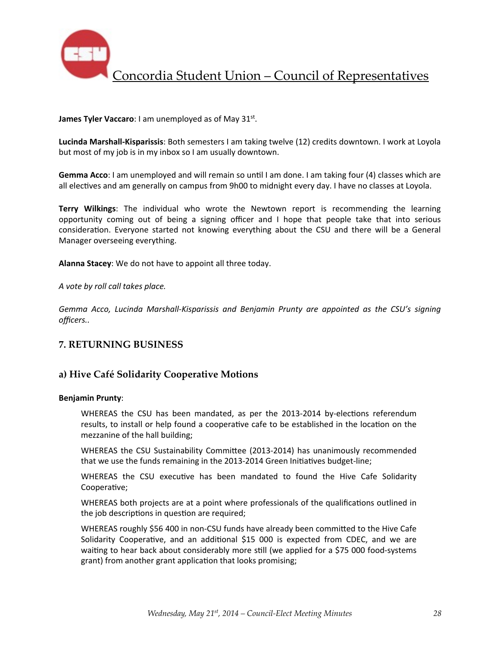

**James Tyler Vaccaro:** I am unemployed as of May 31<sup>st</sup>.

**Lucinda Marshall-Kisparissis**: Both semesters I am taking twelve (12) credits downtown. I work at Loyola but most of my job is in my inbox so I am usually downtown.

**Gemma Acco**: I am unemployed and will remain so until I am done. I am taking four (4) classes which are all electives and am generally on campus from 9h00 to midnight every day. I have no classes at Loyola.

**Terry Wilkings:** The individual who wrote the Newtown report is recommending the learning opportunity coming out of being a signing officer and I hope that people take that into serious consideration. Everyone started not knowing everything about the CSU and there will be a General Manager overseeing everything.

Alanna Stacey: We do not have to appoint all three today.

*A vote by roll call takes place.*

Gemma Acco, Lucinda Marshall-Kisparissis and Benjamin Prunty are appointed as the CSU's signing *officers..*

## **7. RETURNING BUSINESS**

### **a) Hive Café Solidarity Cooperative Motions**

#### **Benjamin Prunty**:

WHEREAS the CSU has been mandated, as per the 2013-2014 by-elections referendum results, to install or help found a cooperative cafe to be established in the location on the mezzanine of the hall building;

WHEREAS the CSU Sustainability Committee (2013-2014) has unanimously recommended that we use the funds remaining in the 2013-2014 Green Initiatives budget-line;

WHEREAS the CSU executive has been mandated to found the Hive Cafe Solidarity Cooperative;

WHEREAS both projects are at a point where professionals of the qualifications outlined in the job descriptions in question are required;

WHEREAS roughly \$56 400 in non-CSU funds have already been committed to the Hive Cafe Solidarity Cooperative, and an additional \$15 000 is expected from CDEC, and we are waiting to hear back about considerably more still (we applied for a \$75 000 food-systems grant) from another grant application that looks promising;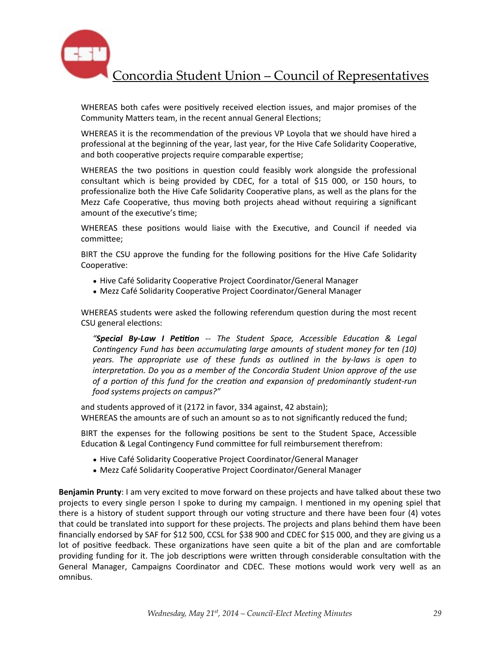

WHEREAS both cafes were positively received election issues, and major promises of the Community Matters team, in the recent annual General Elections;

WHEREAS it is the recommendation of the previous VP Loyola that we should have hired a professional at the beginning of the year, last year, for the Hive Cafe Solidarity Cooperative, and both cooperative projects require comparable expertise;

WHEREAS the two positions in question could feasibly work alongside the professional consultant which is being provided by CDEC, for a total of \$15 000, or 150 hours, to professionalize both the Hive Cafe Solidarity Cooperative plans, as well as the plans for the Mezz Cafe Cooperative, thus moving both projects ahead without requiring a significant amount of the executive's time:

WHEREAS these positions would liaise with the Executive, and Council if needed via committee;

BIRT the CSU approve the funding for the following positions for the Hive Cafe Solidarity Cooperative:

- Hive Café Solidarity Cooperative Project Coordinator/General Manager
- Mezz Café Solidarity Cooperative Project Coordinator/General Manager

WHEREAS students were asked the following referendum question during the most recent CSU general elections:

"**Special By-Law I Petition** -- The Student Space, Accessible Education & Legal *Contingency Fund has been accumulating large amounts of student money for ten (10) years.* The appropriate use of these funds as outlined in the by-laws is open to *interpretation.* Do you as a member of the Concordia Student Union approve of the use *of a portion of this fund for the creation and expansion of predominantly student-run food systems projects on campus?"*

and students approved of it (2172 in favor, 334 against, 42 abstain); WHEREAS the amounts are of such an amount so as to not significantly reduced the fund;

BIRT the expenses for the following positions be sent to the Student Space, Accessible Education & Legal Contingency Fund committee for full reimbursement therefrom:

- Hive Café Solidarity Cooperative Project Coordinator/General Manager
- Mezz Café Solidarity Cooperative Project Coordinator/General Manager

**Benjamin Prunty**: I am very excited to move forward on these projects and have talked about these two projects to every single person I spoke to during my campaign. I mentioned in my opening spiel that there is a history of student support through our voting structure and there have been four (4) votes that could be translated into support for these projects. The projects and plans behind them have been financially endorsed by SAF for \$12 500, CCSL for \$38 900 and CDEC for \$15 000, and they are giving us a lot of positive feedback. These organizations have seen quite a bit of the plan and are comfortable providing funding for it. The job descriptions were written through considerable consultation with the General Manager, Campaigns Coordinator and CDEC. These motions would work very well as an omnibus.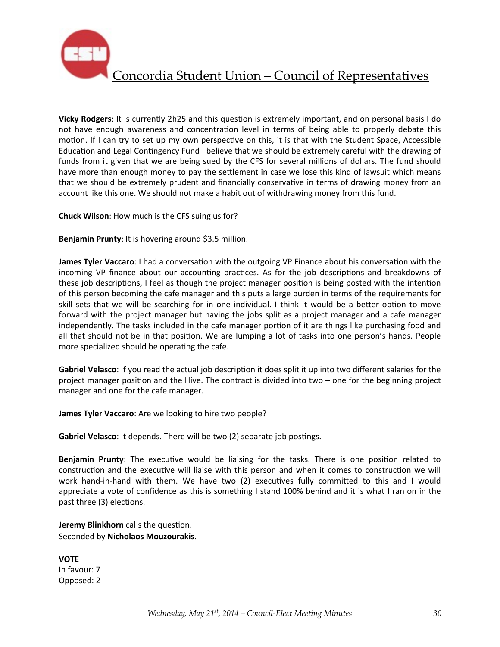

**Vicky Rodgers**: It is currently 2h25 and this question is extremely important, and on personal basis I do not have enough awareness and concentration level in terms of being able to properly debate this motion. If I can try to set up my own perspective on this, it is that with the Student Space, Accessible Education and Legal Contingency Fund I believe that we should be extremely careful with the drawing of funds from it given that we are being sued by the CFS for several millions of dollars. The fund should have more than enough money to pay the settlement in case we lose this kind of lawsuit which means that we should be extremely prudent and financially conservative in terms of drawing money from an account like this one. We should not make a habit out of withdrawing money from this fund.

**Chuck Wilson:** How much is the CFS suing us for?

**Benjamin Prunty:** It is hovering around \$3.5 million.

**James Tyler Vaccaro**: I had a conversation with the outgoing VP Finance about his conversation with the incoming VP finance about our accounting practices. As for the job descriptions and breakdowns of these job descriptions, I feel as though the project manager position is being posted with the intention of this person becoming the cafe manager and this puts a large burden in terms of the requirements for skill sets that we will be searching for in one individual. I think it would be a better option to move forward with the project manager but having the jobs split as a project manager and a cafe manager independently. The tasks included in the cafe manager portion of it are things like purchasing food and all that should not be in that position. We are lumping a lot of tasks into one person's hands. People more specialized should be operating the cafe.

**Gabriel Velasco**: If you read the actual job description it does split it up into two different salaries for the project manager position and the Hive. The contract is divided into two – one for the beginning project manager and one for the cafe manager.

**James Tyler Vaccaro:** Are we looking to hire two people?

**Gabriel Velasco**: It depends. There will be two (2) separate job postings.

**Benjamin Prunty**: The executive would be liaising for the tasks. There is one position related to construction and the executive will liaise with this person and when it comes to construction we will work hand-in-hand with them. We have two (2) executives fully committed to this and I would appreciate a vote of confidence as this is something I stand 100% behind and it is what I ran on in the past three (3) elections.

**Jeremy Blinkhorn** calls the question. Seconded by **Nicholaos Mouzourakis**.

**VOTE** In favour: 7 Opposed: 2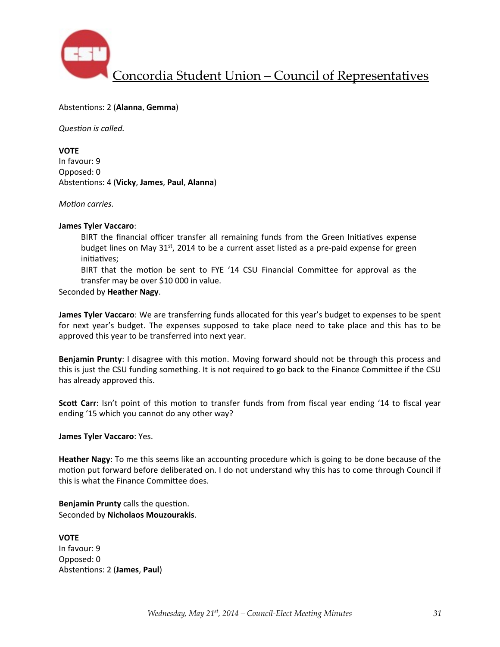

#### Abstentions: 2 (Alanna, Gemma)

**Question** is called.

#### **VOTE**

In favour: 9 Opposed: 0 Abstentions: 4 (Vicky, James, Paul, Alanna)

#### *Motion carries.*

#### **James Tyler Vaccaro**:

BIRT the financial officer transfer all remaining funds from the Green Initiatives expense budget lines on May  $31<sup>st</sup>$ , 2014 to be a current asset listed as a pre-paid expense for green initiatives;

BIRT that the motion be sent to FYE '14 CSU Financial Committee for approval as the transfer may be over \$10 000 in value.

#### Seconded by **Heather Nagy**.

**James Tyler Vaccaro**: We are transferring funds allocated for this year's budget to expenses to be spent for next year's budget. The expenses supposed to take place need to take place and this has to be approved this year to be transferred into next year.

Benjamin Prunty: I disagree with this motion. Moving forward should not be through this process and this is just the CSU funding something. It is not required to go back to the Finance Committee if the CSU has already approved this.

**Scott Carr**: Isn't point of this motion to transfer funds from from fiscal year ending '14 to fiscal year ending '15 which you cannot do any other way?

#### **James Tyler Vaccaro: Yes.**

**Heather Nagy**: To me this seems like an accounting procedure which is going to be done because of the motion put forward before deliberated on. I do not understand why this has to come through Council if this is what the Finance Committee does.

**Benjamin Prunty** calls the question. Seconded by **Nicholaos Mouzourakis**.

**VOTE** In favour: 9 Opposed: 0 Abstentions: 2 (James, Paul)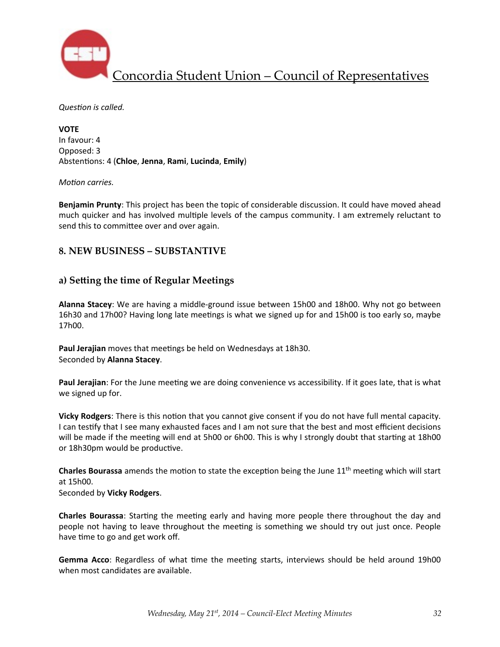

**Question** is called.

**VOTE** In favour: 4 Opposed: 3 Abstentions: 4 (Chloe, Jenna, Rami, Lucinda, Emily)

#### *Motion carries.*

**Benjamin Prunty**: This project has been the topic of considerable discussion. It could have moved ahead much quicker and has involved multiple levels of the campus community. I am extremely reluctant to send this to committee over and over again.

## **8. NEW BUSINESS – SUBSTANTIVE**

## a) Setting the time of Regular Meetings

Alanna Stacey: We are having a middle-ground issue between 15h00 and 18h00. Why not go between 16h30 and 17h00? Having long late meetings is what we signed up for and 15h00 is too early so, maybe 17h00.

Paul Jerajian moves that meetings be held on Wednesdays at 18h30. Seconded by **Alanna Stacey**.

**Paul Jerajian**: For the June meeting we are doing convenience vs accessibility. If it goes late, that is what we signed up for.

**Vicky Rodgers**: There is this notion that you cannot give consent if you do not have full mental capacity. I can testify that I see many exhausted faces and I am not sure that the best and most efficient decisions will be made if the meeting will end at 5h00 or 6h00. This is why I strongly doubt that starting at 18h00 or 18h30pm would be productive.

**Charles Bourassa** amends the motion to state the exception being the June  $11<sup>th</sup>$  meeting which will start at 15h00.

Seconded by **Vicky Rodgers**.

**Charles Bourassa**: Starting the meeting early and having more people there throughout the day and people not having to leave throughout the meeting is something we should try out just once. People have time to go and get work off.

**Gemma Acco**: Regardless of what time the meeting starts, interviews should be held around 19h00 when most candidates are available.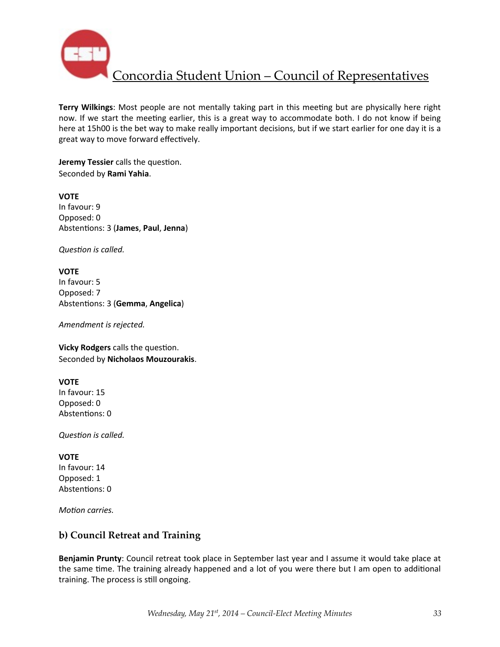

Terry Wilkings: Most people are not mentally taking part in this meeting but are physically here right now. If we start the meeting earlier, this is a great way to accommodate both. I do not know if being here at 15h00 is the bet way to make really important decisions, but if we start earlier for one day it is a great way to move forward effectively.

**Jeremy Tessier** calls the question. Seconded by **Rami Yahia**.

**VOTE** In favour: 9 Opposed: 0 Abstentions: 3 (James, Paul, Jenna)

**Question** is called.

**VOTE** In favour: 5 Opposed: 7 Abstentions: 3 (Gemma, Angelica)

Amendment is rejected.

**Vicky Rodgers** calls the question. Seconded by **Nicholaos Mouzourakis**.

#### **VOTE**

In favour: 15 Opposed: 0 Abstentions: 0

**Question** is called.

## **VOTE**

In favour: 14 Opposed: 1 Abstentions: 0

*Motion carries.* 

## **b) Council Retreat and Training**

**Benjamin Prunty**: Council retreat took place in September last year and I assume it would take place at the same time. The training already happened and a lot of you were there but I am open to additional training. The process is still ongoing.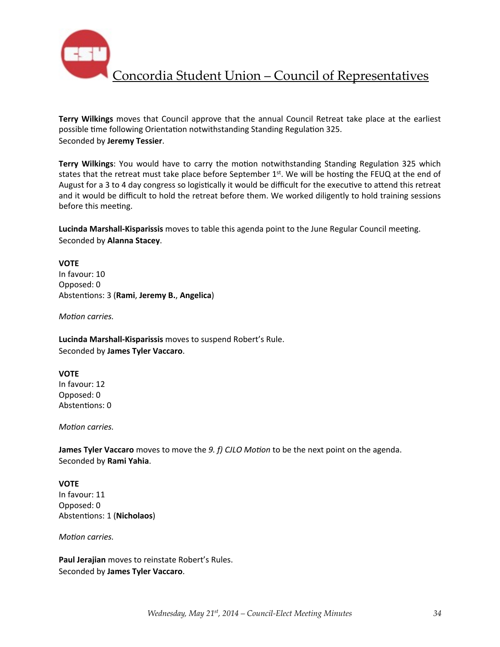

**Terry Wilkings** moves that Council approve that the annual Council Retreat take place at the earliest possible time following Orientation notwithstanding Standing Regulation 325. Seconded by **Jeremy Tessier**.

**Terry Wilkings:** You would have to carry the motion notwithstanding Standing Regulation 325 which states that the retreat must take place before September  $1^{st}$ . We will be hosting the FEUQ at the end of August for a 3 to 4 day congress so logistically it would be difficult for the executive to attend this retreat and it would be difficult to hold the retreat before them. We worked diligently to hold training sessions before this meeting.

Lucinda Marshall-Kisparissis moves to table this agenda point to the June Regular Council meeting. Seconded by **Alanna Stacey**.

**VOTE** In favour: 10 Opposed: 0 Abstentions: 3 (Rami, Jeremy B., Angelica)

*Motion carries.* 

Lucinda Marshall-Kisparissis moves to suspend Robert's Rule. Seconded by **James Tyler Vaccaro**.

#### **VOTE**

In favour: 12 Opposed: 0 Abstentions: 0

*Motion carries.* 

**James Tyler Vaccaro** moves to move the *9. f) CJLO Motion* to be the next point on the agenda. Seconded by **Rami Yahia**.

#### **VOTE**

In favour: 11 Opposed: 0 Abstentions: 1 (Nicholaos)

*Motion carries.* 

**Paul Jerajian** moves to reinstate Robert's Rules. Seconded by **James Tyler Vaccaro**.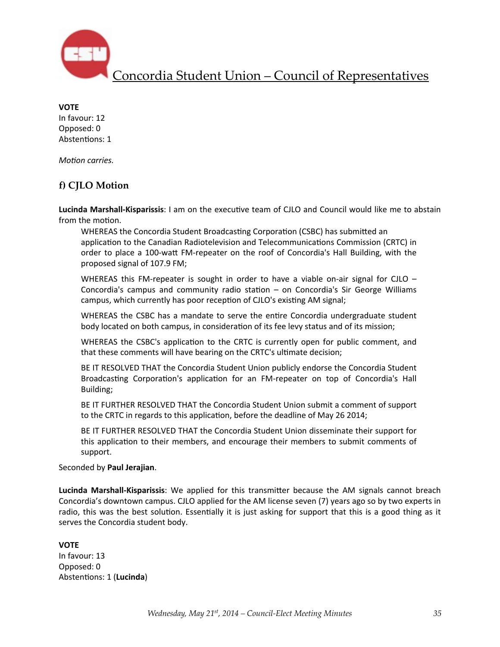

**VOTE** In favour: 12 Opposed: 0 Abstentions: 1

*Motion carries.* 

## **f) CJLO Motion**

Lucinda Marshall-Kisparissis: I am on the executive team of CJLO and Council would like me to abstain from the motion.

WHEREAS the Concordia Student Broadcasting Corporation (CSBC) has submitted an application to the Canadian Radiotelevision and Telecommunications Commission (CRTC) in order to place a 100-watt FM-repeater on the roof of Concordia's Hall Building, with the proposed signal of 107.9 FM;

WHEREAS this FM-repeater is sought in order to have a viable on-air signal for CJLO  $-$ Concordia's campus and community radio station  $-$  on Concordia's Sir George Williams campus, which currently has poor reception of CJLO's existing AM signal;

WHEREAS the CSBC has a mandate to serve the entire Concordia undergraduate student body located on both campus, in consideration of its fee levy status and of its mission;

WHEREAS the CSBC's application to the CRTC is currently open for public comment, and that these comments will have bearing on the CRTC's ultimate decision;

BE IT RESOLVED THAT the Concordia Student Union publicly endorse the Concordia Student Broadcasting Corporation's application for an FM-repeater on top of Concordia's Hall Building;

BE IT FURTHER RESOLVED THAT the Concordia Student Union submit a comment of support to the CRTC in regards to this application, before the deadline of May 26 2014;

BE IT FURTHER RESOLVED THAT the Concordia Student Union disseminate their support for this application to their members, and encourage their members to submit comments of support.

Seconded by **Paul Jerajian**.

**Lucinda Marshall-Kisparissis:** We applied for this transmitter because the AM signals cannot breach Concordia's downtown campus. CJLO applied for the AM license seven (7) years ago so by two experts in radio, this was the best solution. Essentially it is just asking for support that this is a good thing as it serves the Concordia student body.

**VOTE** In favour: 13 Opposed: 0 Abstentions: 1 (**Lucinda**)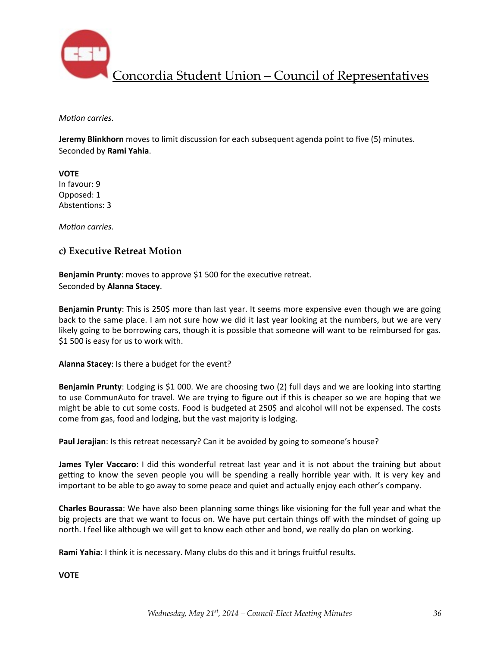

*Motion carries.* 

**Jeremy Blinkhorn** moves to limit discussion for each subsequent agenda point to five (5) minutes. Seconded by **Rami Yahia**.

**VOTE** In favour: 9 Opposed: 1 Abstentions: 3

*Motion carries.* 

## **c) Executive Retreat Motion**

**Benjamin Prunty:** moves to approve \$1 500 for the executive retreat. Seconded by **Alanna Stacey**.

**Benjamin Prunty**: This is 250\$ more than last year. It seems more expensive even though we are going back to the same place. I am not sure how we did it last year looking at the numbers, but we are very likely going to be borrowing cars, though it is possible that someone will want to be reimbursed for gas. \$1 500 is easy for us to work with.

Alanna Stacey: Is there a budget for the event?

**Benjamin Prunty**: Lodging is \$1 000. We are choosing two (2) full days and we are looking into starting to use CommunAuto for travel. We are trying to figure out if this is cheaper so we are hoping that we might be able to cut some costs. Food is budgeted at 250\$ and alcohol will not be expensed. The costs come from gas, food and lodging, but the vast majority is lodging.

Paul Jerajian: Is this retreat necessary? Can it be avoided by going to someone's house?

**James Tyler Vaccaro**: I did this wonderful retreat last year and it is not about the training but about getting to know the seven people you will be spending a really horrible year with. It is very key and important to be able to go away to some peace and quiet and actually enjoy each other's company.

**Charles Bourassa**: We have also been planning some things like visioning for the full year and what the big projects are that we want to focus on. We have put certain things off with the mindset of going up north. I feel like although we will get to know each other and bond, we really do plan on working.

Rami Yahia: I think it is necessary. Many clubs do this and it brings fruitful results.

**VOTE**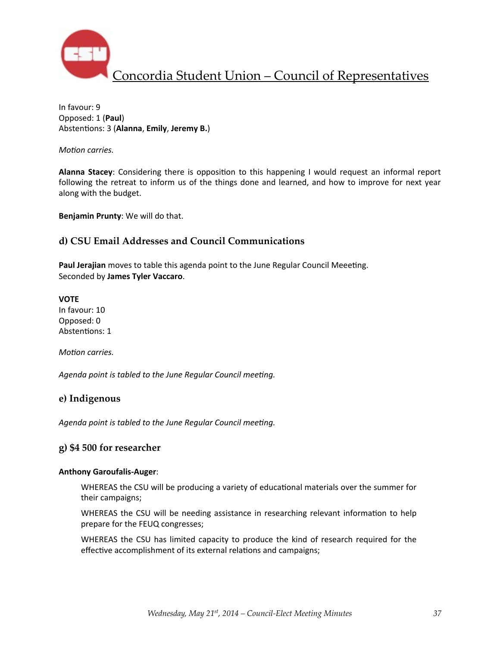

In favour: 9 Opposed: 1 (**Paul**) Abstentions: 3 (Alanna, Emily, Jeremy B.)

*Motion carries.* 

**Alanna Stacey**: Considering there is opposition to this happening I would request an informal report following the retreat to inform us of the things done and learned, and how to improve for next year along with the budget.

**Benjamin Prunty:** We will do that.

### **d) CSU Email Addresses and Council Communications**

Paul Jerajian moves to table this agenda point to the June Regular Council Meeeting. Seconded by **James Tyler Vaccaro**.

#### **VOTE**

In favour: 10 Opposed: 0 Abstentions: 1

*Motion carries.* 

Agenda point is tabled to the June Regular Council meeting.

### **e) Indigenous**

Agenda point is tabled to the June Regular Council meeting.

### **g) \$4 500 for researcher**

#### **Anthony Garoufalis-Auger**:

WHEREAS the CSU will be producing a variety of educational materials over the summer for their campaigns;

WHEREAS the CSU will be needing assistance in researching relevant information to help prepare for the FEUQ congresses;

WHEREAS the CSU has limited capacity to produce the kind of research required for the effective accomplishment of its external relations and campaigns;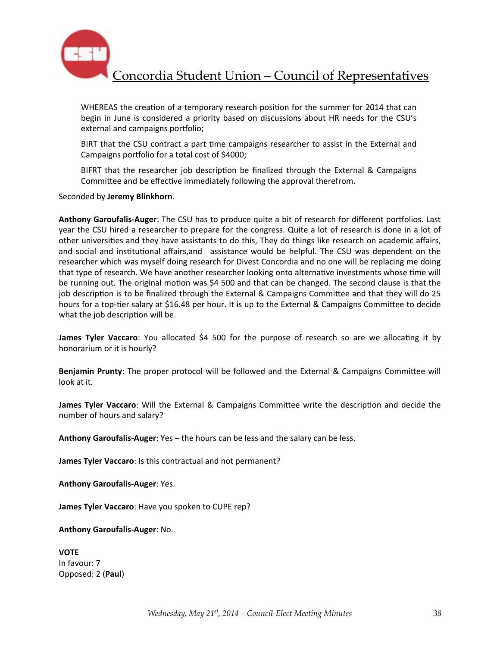

WHEREAS the creation of a temporary research position for the summer for 2014 that can begin in June is considered a priority based on discussions about HR needs for the CSU's external and campaigns portfolio;

BIRT that the CSU contract a part time campaigns researcher to assist in the External and Campaigns portfolio for a total cost of \$4000;

BIFRT that the researcher job description be finalized through the External & Campaigns Committee and be effective immediately following the approval therefrom.

Seconded by **Jeremy Blinkhorn**.

**Anthony Garoufalis-Auger**: The CSU has to produce quite a bit of research for different portfolios. Last year the CSU hired a researcher to prepare for the congress. Quite a lot of research is done in a lot of other universities and they have assistants to do this, They do things like research on academic affairs, and social and institutional affairs,and assistance would be helpful. The CSU was dependent on the researcher which was myself doing research for Divest Concordia and no one will be replacing me doing that type of research. We have another researcher looking onto alternative investments whose time will be running out. The original motion was \$4 500 and that can be changed. The second clause is that the job description is to be finalized through the External & Campaigns Committee and that they will do 25 hours for a top-tier salary at \$16.48 per hour. It is up to the External & Campaigns Committee to decide what the job description will be.

**James Tyler Vaccaro**: You allocated \$4 500 for the purpose of research so are we allocating it by honorarium or it is hourly?

**Benjamin Prunty**: The proper protocol will be followed and the External & Campaigns Committee will look at it.

**James Tyler Vaccaro**: Will the External & Campaigns Committee write the description and decide the number of hours and salary?

**Anthony Garoufalis-Auger:** Yes – the hours can be less and the salary can be less.

**James Tyler Vaccaro**: Is this contractual and not permanent?

**Anthony Garoufalis-Auger: Yes.** 

**James Tyler Vaccaro**: Have you spoken to CUPE rep?

**Anthony Garoufalis-Auger: No.** 

**VOTE** In favour: 7 Opposed: 2 (**Paul**)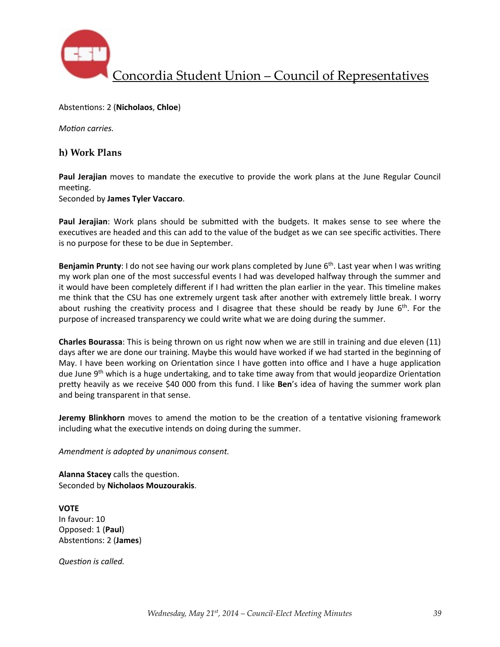

Abstentions: 2 (Nicholaos, Chloe)

*Motion carries.* 

### **h) Work Plans**

**Paul Jerajian** moves to mandate the executive to provide the work plans at the June Regular Council meeting.

Seconded by **James Tyler Vaccaro**.

**Paul Jerajian**: Work plans should be submitted with the budgets. It makes sense to see where the executives are headed and this can add to the value of the budget as we can see specific activities. There is no purpose for these to be due in September.

**Benjamin Prunty**: I do not see having our work plans completed by June 6<sup>th</sup>. Last year when I was writing my work plan one of the most successful events I had was developed halfway through the summer and it would have been completely different if I had written the plan earlier in the year. This timeline makes me think that the CSU has one extremely urgent task after another with extremely little break. I worry about rushing the creativity process and I disagree that these should be ready by June  $6<sup>th</sup>$ . For the purpose of increased transparency we could write what we are doing during the summer.

**Charles Bourassa**: This is being thrown on us right now when we are still in training and due eleven (11) days after we are done our training. Maybe this would have worked if we had started in the beginning of May. I have been working on Orientation since I have gotten into office and I have a huge application due June  $9<sup>th</sup>$  which is a huge undertaking, and to take time away from that would jeopardize Orientation pretty heavily as we receive \$40 000 from this fund. I like **Ben**'s idea of having the summer work plan and being transparent in that sense.

**Jeremy Blinkhorn** moves to amend the motion to be the creation of a tentative visioning framework including what the executive intends on doing during the summer.

Amendment is adopted by unanimous consent.

**Alanna Stacey** calls the question. Seconded by **Nicholaos Mouzourakis**.

**VOTE** In favour: 10 Opposed: 1 (**Paul**) Abstentions: 2 (James)

**Question** is called.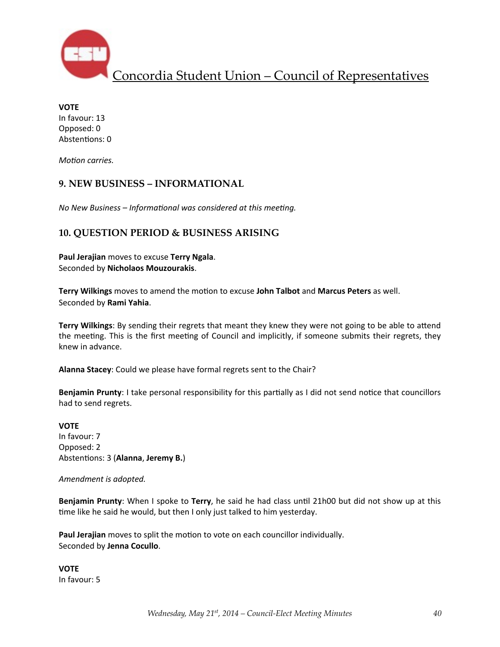

**VOTE** In favour: 13 Opposed: 0 Abstentions: 0

*Motion carries.* 

## **9. NEW BUSINESS – INFORMATIONAL**

*No New Business – Informational was considered at this meeting.* 

## **10. QUESTION PERIOD & BUSINESS ARISING**

**Paul Jerajian** moves to excuse Terry Ngala. Seconded by **Nicholaos Mouzourakis**.

**Terry Wilkings** moves to amend the motion to excuse John Talbot and Marcus Peters as well. Seconded by **Rami Yahia**.

**Terry Wilkings:** By sending their regrets that meant they knew they were not going to be able to attend the meeting. This is the first meeting of Council and implicitly, if someone submits their regrets, they knew in advance.

Alanna Stacey: Could we please have formal regrets sent to the Chair?

**Benjamin Prunty**: I take personal responsibility for this partially as I did not send notice that councillors had to send regrets.

**VOTE** In favour: 7 Opposed: 2 Abstentions: 3 (Alanna, Jeremy B.)

Amendment is adopted.

**Benjamin Prunty**: When I spoke to Terry, he said he had class until 21h00 but did not show up at this time like he said he would, but then I only just talked to him yesterday.

Paul Jerajian moves to split the motion to vote on each councillor individually. Seconded by **Jenna Cocullo**.

**VOTE** In favour: 5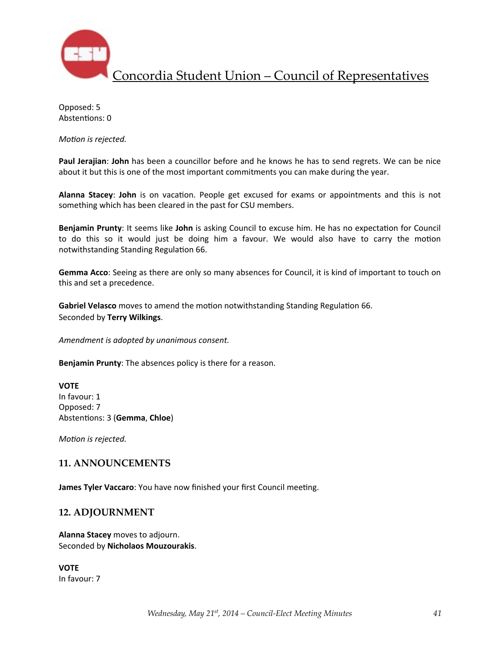

Opposed: 5 Abstentions: 0

*Motion* is rejected.

Paul Jerajian: John has been a councillor before and he knows he has to send regrets. We can be nice about it but this is one of the most important commitments you can make during the year.

Alanna Stacey: John is on vacation. People get excused for exams or appointments and this is not something which has been cleared in the past for CSU members.

**Benjamin Prunty**: It seems like John is asking Council to excuse him. He has no expectation for Council to do this so it would just be doing him a favour. We would also have to carry the motion notwithstanding Standing Regulation 66.

**Gemma Acco**: Seeing as there are only so many absences for Council, it is kind of important to touch on this and set a precedence.

**Gabriel Velasco** moves to amend the motion notwithstanding Standing Regulation 66. Seconded by **Terry Wilkings**.

Amendment is adopted by unanimous consent.

**Benjamin Prunty:** The absences policy is there for a reason.

**VOTE** In favour: 1 Opposed: 7 Abstentions: 3 (Gemma, Chloe)

*Motion* is rejected.

### **11. ANNOUNCEMENTS**

**James Tyler Vaccaro**: You have now finished your first Council meeting.

### **12. ADJOURNMENT**

**Alanna Stacey** moves to adjourn. Seconded by **Nicholaos Mouzourakis**.

**VOTE** In favour: 7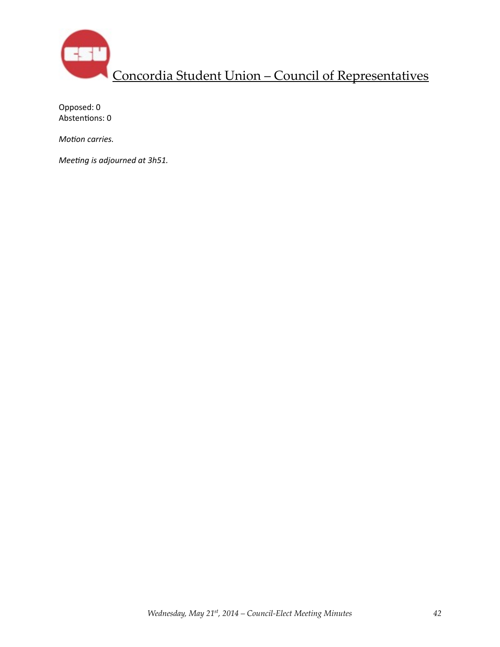

Opposed: 0 Abstentions: 0

*Motion carries.* 

*Meeting is adjourned at 3h51.*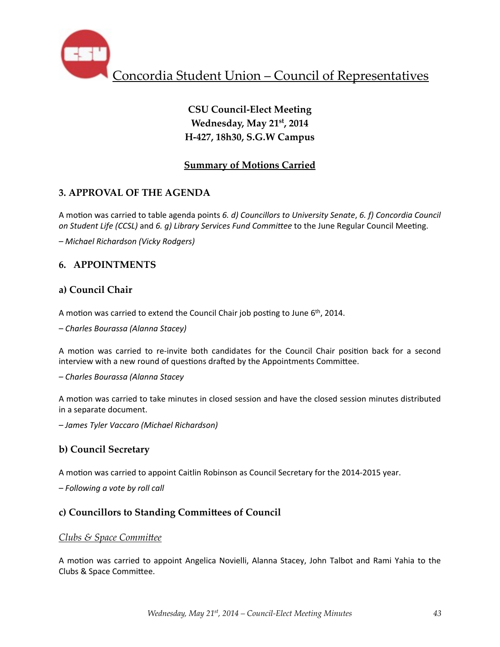

# **CSU Council-Elect Meeting Wednesday, May 21st, 2014 H-427, 18h30, S.G.W Campus**

# **Summary of Motions Carried**

# **3. APPROVAL OF THE AGENDA**

A motion was carried to table agenda points 6. d) Councillors to University Senate, 6. f) Concordia Council *on Student Life (CCSL)* and 6. g) Library Services Fund Committee to the June Regular Council Meeting.

*– Michael Richardson (Vicky Rodgers)*

# **6. APPOINTMENTS**

## **a) Council Chair**

A motion was carried to extend the Council Chair job posting to June  $6<sup>th</sup>$ , 2014.

*– Charles Bourassa (Alanna Stacey)*

A motion was carried to re-invite both candidates for the Council Chair position back for a second interview with a new round of questions drafted by the Appointments Committee.

*– Charles Bourassa (Alanna Stacey*

A motion was carried to take minutes in closed session and have the closed session minutes distributed in a separate document.

*– James Tyler Vaccaro (Michael Richardson)*

## **b) Council Secretary**

A motion was carried to appoint Caitlin Robinson as Council Secretary for the 2014-2015 year.

*– Following a vote by roll call*

## **c) Councillors to Standing Commibees of Council**

## *Clubs & Space Committee*

A motion was carried to appoint Angelica Novielli, Alanna Stacey, John Talbot and Rami Yahia to the Clubs & Space Committee.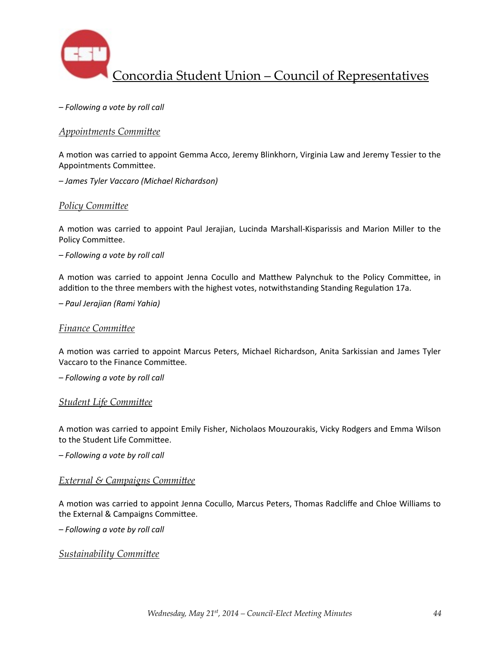

*– Following a vote by roll call*

## *Appointments Committee*

A motion was carried to appoint Gemma Acco, Jeremy Blinkhorn, Virginia Law and Jeremy Tessier to the Appointments Committee.

*– James Tyler Vaccaro (Michael Richardson)*

### **Policy Committee**

A motion was carried to appoint Paul Jerajian, Lucinda Marshall-Kisparissis and Marion Miller to the Policy Committee.

*– Following a vote by roll call*

A motion was carried to appoint Jenna Cocullo and Matthew Palynchuk to the Policy Committee, in addition to the three members with the highest votes, notwithstanding Standing Regulation 17a.

*– Paul Jerajian (Rami Yahia)*

#### **Finance Committee**

A motion was carried to appoint Marcus Peters, Michael Richardson, Anita Sarkissian and James Tyler Vaccaro to the Finance Committee.

*– Following a vote by roll call*

#### **Student Life Committee**

A motion was carried to appoint Emily Fisher, Nicholaos Mouzourakis, Vicky Rodgers and Emma Wilson to the Student Life Committee.

*– Following a vote by roll call*

#### *External & Campaigns Committee*

A motion was carried to appoint Jenna Cocullo, Marcus Peters, Thomas Radcliffe and Chloe Williams to the External & Campaigns Committee.

*– Following a vote by roll call*

**Sustainability Committee**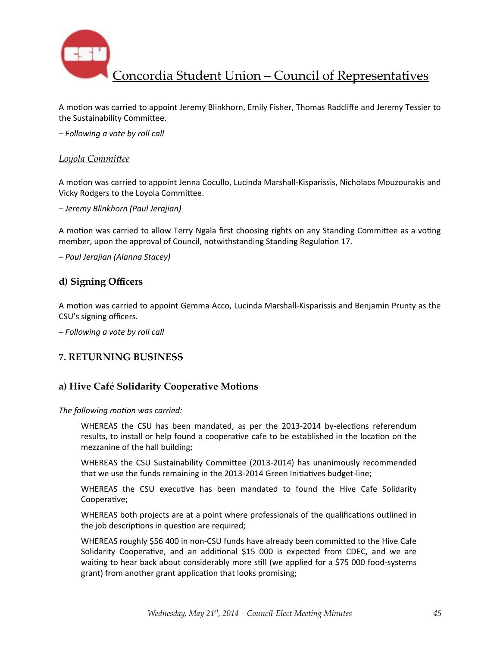

A motion was carried to appoint Jeremy Blinkhorn, Emily Fisher, Thomas Radcliffe and Jeremy Tessier to the Sustainability Committee.

*– Following a vote by roll call*

#### Loyola Committee

A motion was carried to appoint Jenna Cocullo, Lucinda Marshall-Kisparissis, Nicholaos Mouzourakis and Vicky Rodgers to the Loyola Committee.

*– Jeremy Blinkhorn (Paul Jerajian)*

A motion was carried to allow Terry Ngala first choosing rights on any Standing Committee as a voting member, upon the approval of Council, notwithstanding Standing Regulation 17.

*– Paul Jerajian (Alanna Stacey)*

### **d) Signing Officers**

A motion was carried to appoint Gemma Acco, Lucinda Marshall-Kisparissis and Benjamin Prunty as the CSU's signing officers.

*– Following a vote by roll call*

### **7. RETURNING BUSINESS**

## **a) Hive Café Solidarity Cooperative Motions**

The following motion was carried:

WHEREAS the CSU has been mandated, as per the 2013-2014 by-elections referendum results, to install or help found a cooperative cafe to be established in the location on the mezzanine of the hall building;

WHEREAS the CSU Sustainability Committee (2013-2014) has unanimously recommended that we use the funds remaining in the 2013-2014 Green Initiatives budget-line;

WHEREAS the CSU executive has been mandated to found the Hive Cafe Solidarity Cooperative;

WHEREAS both projects are at a point where professionals of the qualifications outlined in the job descriptions in question are required;

WHEREAS roughly \$56 400 in non-CSU funds have already been committed to the Hive Cafe Solidarity Cooperative, and an additional \$15 000 is expected from CDEC, and we are waiting to hear back about considerably more still (we applied for a \$75 000 food-systems grant) from another grant application that looks promising;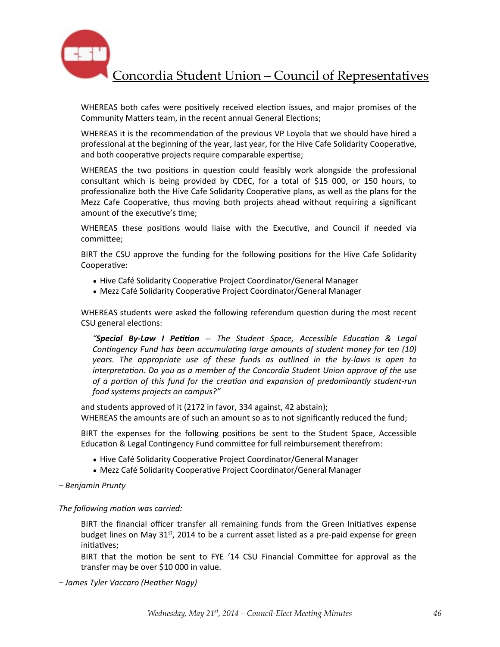

WHEREAS both cafes were positively received election issues, and major promises of the Community Matters team, in the recent annual General Elections;

WHEREAS it is the recommendation of the previous VP Loyola that we should have hired a professional at the beginning of the year, last year, for the Hive Cafe Solidarity Cooperative, and both cooperative projects require comparable expertise;

WHEREAS the two positions in question could feasibly work alongside the professional consultant which is being provided by CDEC, for a total of \$15 000, or 150 hours, to professionalize both the Hive Cafe Solidarity Cooperative plans, as well as the plans for the Mezz Cafe Cooperative, thus moving both projects ahead without requiring a significant amount of the executive's time:

WHEREAS these positions would liaise with the Executive, and Council if needed via committee;

BIRT the CSU approve the funding for the following positions for the Hive Cafe Solidarity Cooperative:

- Hive Café Solidarity Cooperative Project Coordinator/General Manager
- Mezz Café Solidarity Cooperative Project Coordinator/General Manager

WHEREAS students were asked the following referendum question during the most recent CSU general elections:

"**Special By-Law I Petition** -- The Student Space, Accessible Education & Legal *Contingency Fund has been accumulating large amounts of student money for ten (10) years.* The appropriate use of these funds as outlined in the by-laws is open to *interpretation.* Do you as a member of the Concordia Student Union approve of the use *of a portion of this fund for the creation and expansion of predominantly student-run food systems projects on campus?"*

and students approved of it (2172 in favor, 334 against, 42 abstain); WHEREAS the amounts are of such an amount so as to not significantly reduced the fund;

BIRT the expenses for the following positions be sent to the Student Space, Accessible Education & Legal Contingency Fund committee for full reimbursement therefrom:

- Hive Café Solidarity Cooperative Project Coordinator/General Manager
- Mezz Café Solidarity Cooperative Project Coordinator/General Manager
- *– Benjamin Prunty*

The following motion was carried:

BIRT the financial officer transfer all remaining funds from the Green Initiatives expense budget lines on May 31<sup>st</sup>, 2014 to be a current asset listed as a pre-paid expense for green initiatives:

BIRT that the motion be sent to FYE '14 CSU Financial Committee for approval as the transfer may be over \$10 000 in value.

*– James Tyler Vaccaro (Heather Nagy)*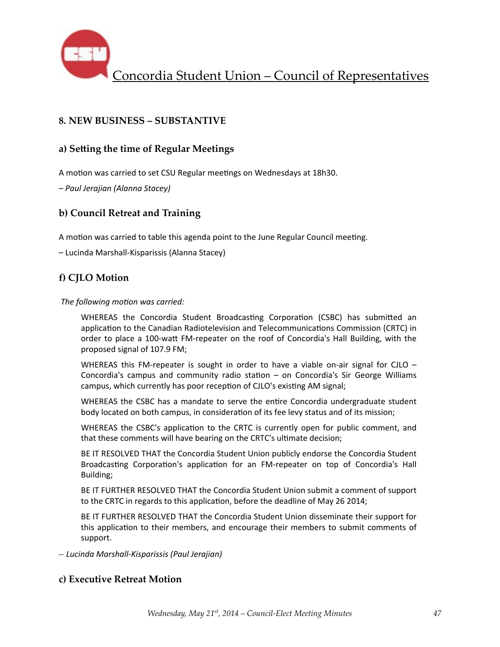

## **8. NEW BUSINESS – SUBSTANTIVE**

## a) Setting the time of Regular Meetings

A motion was carried to set CSU Regular meetings on Wednesdays at 18h30.

*– Paul Jerajian (Alanna Stacey)*

## **b) Council Retreat and Training**

A motion was carried to table this agenda point to the June Regular Council meeting.

– Lucinda Marshall-Kisparissis (Alanna Stacey)

## **f) CJLO Motion**

The following motion was carried:

WHEREAS the Concordia Student Broadcasting Corporation (CSBC) has submitted an application to the Canadian Radiotelevision and Telecommunications Commission (CRTC) in order to place a 100-watt FM-repeater on the roof of Concordia's Hall Building, with the proposed signal of 107.9 FM;

WHEREAS this FM-repeater is sought in order to have a viable on-air signal for CJLO  $-$ Concordia's campus and community radio station  $-$  on Concordia's Sir George Williams campus, which currently has poor reception of CJLO's existing AM signal;

WHEREAS the CSBC has a mandate to serve the entire Concordia undergraduate student body located on both campus, in consideration of its fee levy status and of its mission;

WHEREAS the CSBC's application to the CRTC is currently open for public comment, and that these comments will have bearing on the CRTC's ultimate decision;

BE IT RESOLVED THAT the Concordia Student Union publicly endorse the Concordia Student Broadcasting Corporation's application for an FM-repeater on top of Concordia's Hall Building;

BE IT FURTHER RESOLVED THAT the Concordia Student Union submit a comment of support to the CRTC in regards to this application, before the deadline of May 26 2014;

BE IT FURTHER RESOLVED THAT the Concordia Student Union disseminate their support for this application to their members, and encourage their members to submit comments of support.

*– Lucinda Marshall-Kisparissis (Paul Jerajian)*

### **c) Executive Retreat Motion**